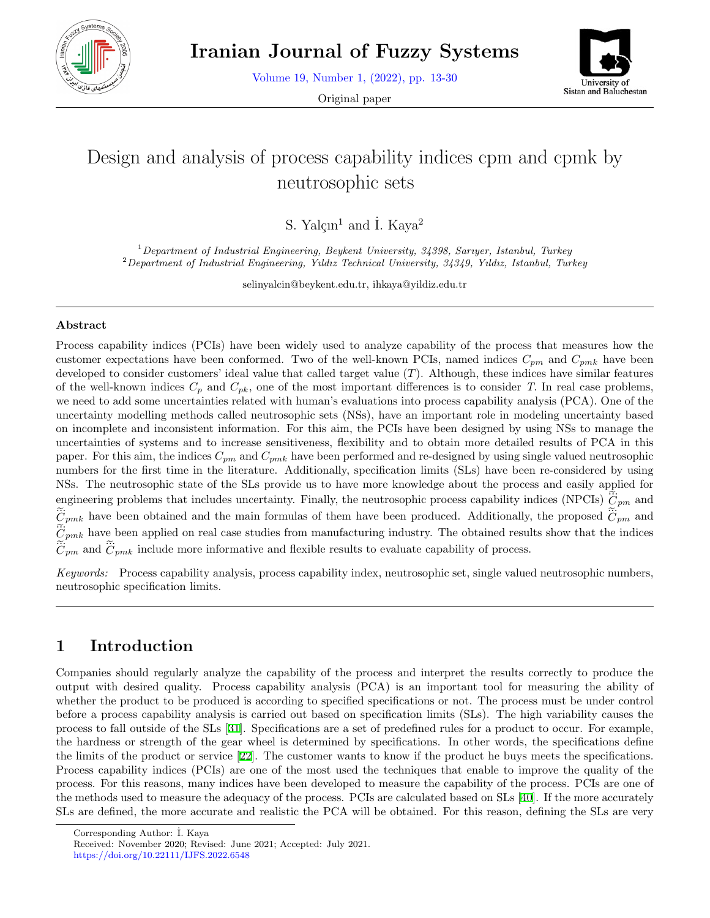

Volume 19, Number 1, (2022), pp. 13-30

Original paper



# Design and analysis of process capability indices cpm and cpmk by neutrosophic sets

S. Yal $cm<sup>1</sup>$  and İ. Kaya<sup>2</sup>

<sup>1</sup>*Department of Industrial Engineering, Beykent University, 34398, Sarıyer, Istanbul, Turkey* <sup>2</sup>*Department of Industrial Engineering, Yıldız Technical University, 34349, Yıldız, Istanbul, Turkey*

selinyalcin@beykent.edu.tr, ihkaya@yildiz.edu.tr

#### **Abstract**

Process capability indices (PCIs) have been widely used to analyze capability of the process that measures how the customer expectations have been conformed. Two of the well-known PCIs, named indices  $C_{pm}$  and  $C_{pmk}$  have been developed to consider customers' ideal value that called target value (*T*). Although, these indices have similar features of the well-known indices  $C_p$  and  $C_{pk}$ , one of the most important differences is to consider *T*. In real case problems, we need to add some uncertainties related with human's evaluations into process capability analysis (PCA). One of the uncertainty modelling methods called neutrosophic sets (NSs), have an important role in modeling uncertainty based on incomplete and inconsistent information. For this aim, the PCIs have been designed by using NSs to manage the uncertainties of systems and to increase sensitiveness, flexibility and to obtain more detailed results of PCA in this paper. For this aim, the indices *Cpm* and *Cpmk* have been performed and re-designed by using single valued neutrosophic numbers for the first time in the literature. Additionally, specification limits (SLs) have been re-considered by using NSs. The neutrosophic state of the SLs provide us to have more knowledge about the process and easily applied for uncertainties of systems and to increase sensitiveness, flexibility and to obtain more detailed results of PCA<br>paper. For this aim, the indices  $C_{pm}$  and  $C_{pmk}$  have been performed and re-designed by using single valued engineering problems that includes uncertainty. Finally, the neutrosophic process capability indices (NPCIs)  $\hat{\tilde{C}}_{pm}$  and p.<br>! ... paper. For this aim, the mailes  $C_{pm}$  and  $C_{pm}$  have been performed and re-designed by using single valued heur<br>numbers for the first time in the literature. Additionally, specification limits (SLs) have been re-conside  $\tilde{\tilde{C}}_{pm}$  and ...<br>N  $\widetilde{C}_{pmk}$  have been applied on real case studies from manufacturing industry. The obtained results show that the indices  $C_{pm}$  and  $C_{pmk}$  include more informative and flexible results to evaluate capability of process. engineering<br> $\tilde{C}_{pmk}$  have<br> $\tilde{C}_{pmk}$  have<br> $\tilde{C}_{pm}$  and  $\tilde{C}$  $\frac{1}{2}$ 

*Keywords:* Process capability analysis, process capability index, neutrosophic set, single valued neutrosophic numbers, neutrosophic specification limits.

## **1 Introduction**

Companies should regularly analyze the capability of the process and interpret the results correctly to produce the output with desired quality. Process capability analysis (PCA) is an important tool for measuring the ability of whether the product to be produced is according to specified specifications or not. The process must be under control before a process capability analysis is carried out based on specification limits (SLs). The high variability causes the process to fall outside of the SLs [[31\]](#page-16-0). Specifications are a set of predefined rules for a product to occur. For example, the hardness or strength of the gear wheel is determined by specifications. In other words, the specifications define the limits of the product or service [[22\]](#page-16-1). The customer wants to know if the product he buys meets the specifications. Process capability indices (PCIs) are one of the most used the techniques that enable to improve the quality of the process. For this reasons, many indices have been developed to measure the capability of the process. PCIs are one of the methods used to measure the adequacy of the process. PCIs are calculated based on SLs [\[40](#page-17-0)]. If the more accurately SLs are defined, the more accurate and realistic the PCA will be obtained. For this reason, defining the SLs are very

Corresponding Author: ˙I. Kaya

Received: November 2020; Revised: June 2021; Accepted: July 2021. https://doi.org/10.22111/IJFS.2022.6548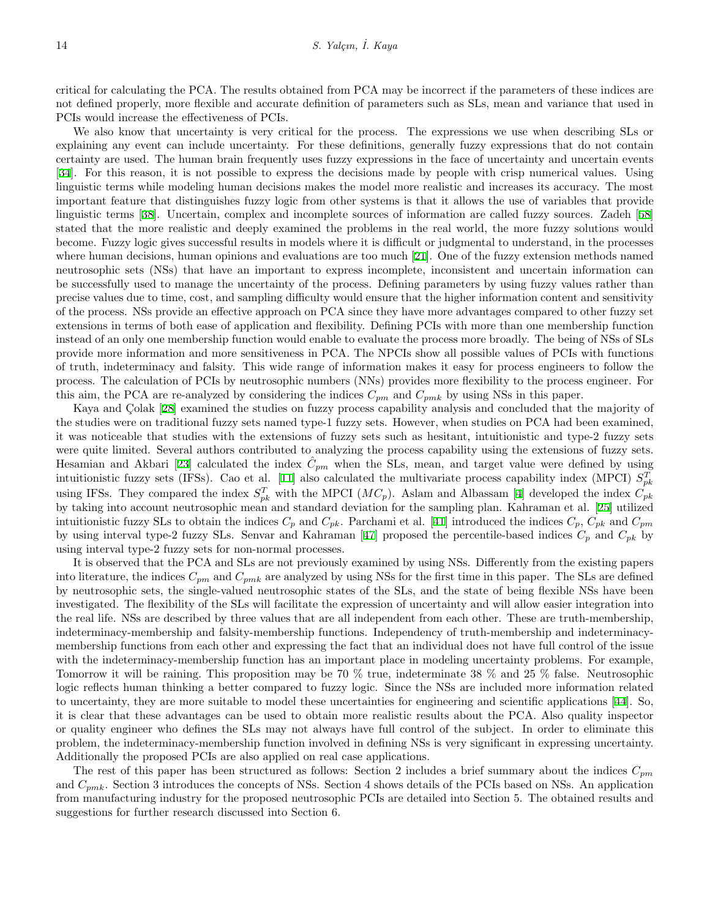critical for calculating the PCA. The results obtained from PCA may be incorrect if the parameters of these indices are not defined properly, more flexible and accurate definition of parameters such as SLs, mean and variance that used in PCIs would increase the effectiveness of PCIs.

We also know that uncertainty is very critical for the process. The expressions we use when describing SLs or explaining any event can include uncertainty. For these definitions, generally fuzzy expressions that do not contain certainty are used. The human brain frequently uses fuzzy expressions in the face of uncertainty and uncertain events [[34\]](#page-16-2). For this reason, it is not possible to express the decisions made by people with crisp numerical values. Using linguistic terms while modeling human decisions makes the model more realistic and increases its accuracy. The most important feature that distinguishes fuzzy logic from other systems is that it allows the use of variables that provide linguistic terms [\[38](#page-17-1)]. Uncertain, complex and incomplete sources of information are called fuzzy sources. Zadeh [[58](#page-17-2)] stated that the more realistic and deeply examined the problems in the real world, the more fuzzy solutions would become. Fuzzy logic gives successful results in models where it is difficult or judgmental to understand, in the processes where human decisions, human opinions and evaluations are too much [[21\]](#page-16-3). One of the fuzzy extension methods named neutrosophic sets (NSs) that have an important to express incomplete, inconsistent and uncertain information can be successfully used to manage the uncertainty of the process. Defining parameters by using fuzzy values rather than precise values due to time, cost, and sampling difficulty would ensure that the higher information content and sensitivity of the process. NSs provide an effective approach on PCA since they have more advantages compared to other fuzzy set extensions in terms of both ease of application and flexibility. Defining PCIs with more than one membership function instead of an only one membership function would enable to evaluate the process more broadly. The being of NSs of SLs provide more information and more sensitiveness in PCA. The NPCIs show all possible values of PCIs with functions of truth, indeterminacy and falsity. This wide range of information makes it easy for process engineers to follow the process. The calculation of PCIs by neutrosophic numbers (NNs) provides more flexibility to the process engineer. For this aim, the PCA are re-analyzed by considering the indices  $C_{pm}$  and  $C_{pmk}$  by using NSs in this paper.

Kaya and Colak [[28\]](#page-16-4) examined the studies on fuzzy process capability analysis and concluded that the majority of the studies were on traditional fuzzy sets named type-1 fuzzy sets. However, when studies on PCA had been examined, it was noticeable that studies with the extensions of fuzzy sets such as hesitant, intuitionistic and type-2 fuzzy sets were quite limited. Several authors contributed to analyzing the process capability using the extensions of fuzzy sets. Hesamian and Akbari [[23\]](#page-16-5) calculated the index  $\hat{C}_{pm}$  when the SLs, mean, and target value were defined by using intuitionistic fuzzy sets (IFSs). Cao et al. [\[11](#page-15-0)] also calculated the multivariate process capability index (MPCI)  $S_{pk}^T$ using IFSs. They compared the index  $S_{pk}^T$  with the MPCI ( $MC_p$ ). Aslam and Albassam [\[4](#page-15-1)] developed the index  $C_{pk}$ by taking into account neutrosophic mean and standard deviation for the sampling plan. Kahraman et al. [[25\]](#page-16-6) utilized intuitionistic fuzzy SLs to obtain the indices  $C_p$  and  $C_{pk}$ . Parchami et al. [[41\]](#page-17-3) introduced the indices  $C_p$ ,  $C_{pk}$  and  $C_{pm}$ by using interval type-2 fuzzy SLs. Senvar and Kahraman [\[47](#page-17-4)] proposed the percentile-based indices  $C_p$  and  $C_{pk}$  by using interval type-2 fuzzy sets for non-normal processes.

It is observed that the PCA and SLs are not previously examined by using NSs. Differently from the existing papers into literature, the indices *Cpm* and *Cpmk* are analyzed by using NSs for the first time in this paper. The SLs are defined by neutrosophic sets, the single-valued neutrosophic states of the SLs, and the state of being flexible NSs have been investigated. The flexibility of the SLs will facilitate the expression of uncertainty and will allow easier integration into the real life. NSs are described by three values that are all independent from each other. These are truth-membership, indeterminacy-membership and falsity-membership functions. Independency of truth-membership and indeterminacymembership functions from each other and expressing the fact that an individual does not have full control of the issue with the indeterminacy-membership function has an important place in modeling uncertainty problems. For example, Tomorrow it will be raining. This proposition may be 70 % true, indeterminate 38 % and 25 % false. Neutrosophic logic reflects human thinking a better compared to fuzzy logic. Since the NSs are included more information related to uncertainty, they are more suitable to model these uncertainties for engineering and scientific applications [[44](#page-17-5)]. So, it is clear that these advantages can be used to obtain more realistic results about the PCA. Also quality inspector or quality engineer who defines the SLs may not always have full control of the subject. In order to eliminate this problem, the indeterminacy-membership function involved in defining NSs is very significant in expressing uncertainty. Additionally the proposed PCIs are also applied on real case applications.

The rest of this paper has been structured as follows: Section 2 includes a brief summary about the indices *Cpm* and *Cpmk*. Section 3 introduces the concepts of NSs. Section 4 shows details of the PCIs based on NSs. An application from manufacturing industry for the proposed neutrosophic PCIs are detailed into Section 5. The obtained results and suggestions for further research discussed into Section 6.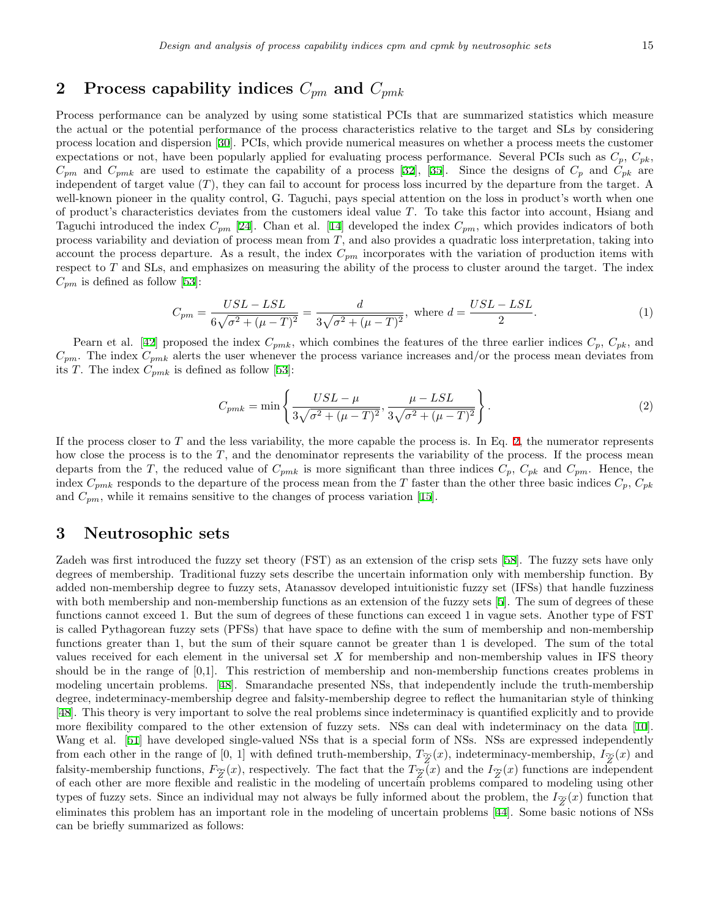### **2 Process capability indices** *Cpm* **and** *Cpmk*

Process performance can be analyzed by using some statistical PCIs that are summarized statistics which measure the actual or the potential performance of the process characteristics relative to the target and SLs by considering process location and dispersion [\[30](#page-16-7)]. PCIs, which provide numerical measures on whether a process meets the customer expectations or not, have been popularly applied for evaluating process performance. Several PCIs such as  $C_p$ ,  $C_{pk}$ ,  $C_{pm}$  and  $C_{pmk}$  are used to estimate the capability of a process [[32\]](#page-16-8), [\[35](#page-16-9)]. Since the designs of  $C_p$  and  $C_{pk}$  are independent of target value (*T*), they can fail to account for process loss incurred by the departure from the target. A well-known pioneer in the quality control, G. Taguchi, pays special attention on the loss in product's worth when one of product's characteristics deviates from the customers ideal value *T*. To take this factor into account, Hsiang and Taguchi introduced the index  $C_{pm}$  [\[24](#page-16-10)]. Chan et al. [\[14](#page-15-2)] developed the index  $C_{pm}$ , which provides indicators of both process variability and deviation of process mean from *T*, and also provides a quadratic loss interpretation, taking into account the process departure. As a result, the index *Cpm* incorporates with the variation of production items with respect to *T* and SLs, and emphasizes on measuring the ability of the process to cluster around the target. The index respect to *T* and SLs, and emphasizes on measuring the ability of the process to cluster around the t  $C_{pm}$  is defined as follow [\[53](#page-17-6)]:

$$
C_{pm} = \frac{USL - LSL}{6\sqrt{\sigma^2 + (\mu - T)^2}} = \frac{d}{3\sqrt{\sigma^2 + (\mu - T)^2}}, \text{ where } d = \frac{USL - LSL}{2}.
$$
 (1)

Pearn et al. [[42\]](#page-17-7) proposed the index  $C_{pmk}$ , which combines the features of the three earlier indices  $C_p$ ,  $C_{pk}$ , and  $n$ . The index  $C_{pmk}$  is defined as follow [53]:<br> *C*<sub>*pmk*</sub> is defined as follow [53]:<br>  $C_{pmk} = \min \$  $C_{pm}$ . The index  $C_{pmk}$  alerts the user whenever the process variance increases and/or the process mean deviates from its *T*. The index  $C_{pmk}$  is defined as follow [\[53](#page-17-6)]:

<span id="page-2-0"></span>
$$
C_{pmk} = \min\left\{\frac{USL - \mu}{3\sqrt{\sigma^2 + (\mu - T)^2}}, \frac{\mu - LSL}{3\sqrt{\sigma^2 + (\mu - T)^2}}\right\}.
$$
 (2)

If the process closer to  $T$  and the less variability, the more capable the process is. In Eq. [2](#page-2-0), the numerator represents how close the process is to the *T*, and the denominator represents the variability of the process. If the process mean departs from the *T*, the reduced value of  $C_{pmk}$  is more significant than three indices  $C_p$ ,  $C_{pk}$  and  $C_{pm}$ . Hence, the index  $C_{pmk}$  responds to the departure of the process mean from the *T* faster than the other three basic indices  $C_p$ ,  $C_{pk}$ and  $C_{pm}$ , while it remains sensitive to the changes of process variation [\[15](#page-16-11)].

#### **3 Neutrosophic sets**

Zadeh was first introduced the fuzzy set theory (FST) as an extension of the crisp sets [[58](#page-17-2)]. The fuzzy sets have only degrees of membership. Traditional fuzzy sets describe the uncertain information only with membership function. By added non-membership degree to fuzzy sets, Atanassov developed intuitionistic fuzzy set (IFSs) that handle fuzziness with both membership and non-membership functions as an extension of the fuzzy sets [[5\]](#page-15-3). The sum of degrees of these functions cannot exceed 1. But the sum of degrees of these functions can exceed 1 in vague sets. Another type of FST is called Pythagorean fuzzy sets (PFSs) that have space to define with the sum of membership and non-membership functions greater than 1, but the sum of their square cannot be greater than 1 is developed. The sum of the total values received for each element in the universal set *X* for membership and non-membership values in IFS theory should be in the range of [0,1]. This restriction of membership and non-membership functions creates problems in modeling uncertain problems. [\[48](#page-17-8)]. Smarandache presented NSs, that independently include the truth-membership degree, indeterminacy-membership degree and falsity-membership degree to reflect the humanitarian style of thinking [[48\]](#page-17-8). This theory is very important to solve the real problems since indeterminacy is quantified explicitly and to provide more flexibility compared to the other extension of fuzzy sets. NSs can deal with indeterminacy on the data [[10](#page-15-4)]. Wang et al. [\[51](#page-17-9)] have developed single-valued NSs that is a special form of NSs. NSs are expressed independently from each other in the range of  $[0, 1]$  with defined truth-membership,  $T_{\widetilde{Z}}(x)$ , indeterminacy-membership,  $I_{\widetilde{Z}}(x)$  and falsity-membership functions,  $F_{\widetilde{Z}}(x)$ , respectively. The fact that the  $T_{\widetilde{Z}}(x)$  and the  $I_{\widetilde{Z}}(x)$  functions are independent of each other are more flexible and realistic in the modeling of uncertain problems compared to modeling using other types of fuzzy sets. Since an individual may not always be fully informed about the problem, the  $I_{\widetilde{Z}}(x)$  function that eliminates this problem has an important role in the modeling of uncertain problems [\[44](#page-17-5)]. Some basic notions of NSs can be briefly summarized as follows: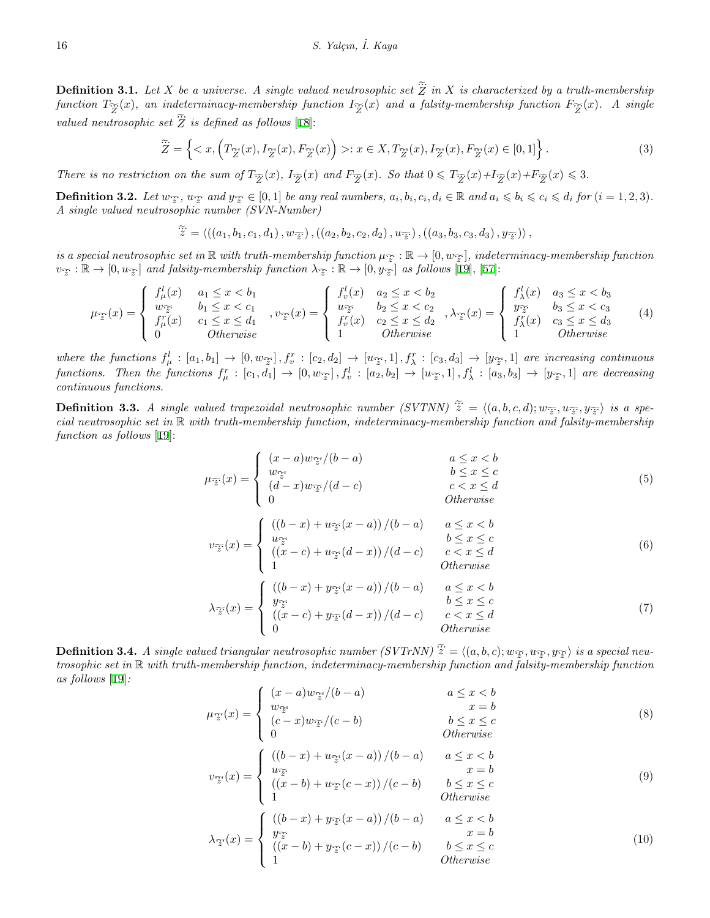**Definition 3.1.** Let *X* be a universe. A single valued neutrosophic set  $\widetilde{Z}$  in *X* is characterized by a truth-membership  $f$ unction  $T_{\widetilde{Z}}(x)$ , an indeterminacy-membership function  $I_{\widetilde{Z}}(x)$  and a falsity-membership function  $F_{\widetilde{Z}}(x)$ . A single **Definition 3.1.** Let X b<br>function  $T_{\widetilde{Z}}(x)$ , an inde<br>valued neutrosophic set  $\widetilde{Z}$  $\widetilde{Z}$  *is defined as follows* [[18\]](#page-16-12): *X* be a universe. *A* single valued neutrosophic set  $\tilde{Z}$  in *X* is characterized l<br>indeterminacy-membership function  $I_{\tilde{Z}}(x)$  and a falsity-membership funct<br>set  $\tilde{Z}$  is defined as follows [18]:<br> $\tilde{Z} = \{ \langle$ 

$$
\widetilde{Z} = \left\{ \langle x, \left( T_{\widetilde{Z}}(x), I_{\widetilde{Z}}(x), F_{\widetilde{Z}}(x) \right) \rangle : x \in X, T_{\widetilde{Z}}(x), I_{\widetilde{Z}}(x), F_{\widetilde{Z}}(x) \in [0, 1] \right\}.
$$
\n(3)

There is no restriction on the sum of  $T_{\widetilde{Z}}(x)$ ,  $I_{\widetilde{Z}}(x)$  and  $F_{\widetilde{Z}}(x)$ . So that  $0 \leq T_{\widetilde{Z}}(x) + I_{\widetilde{Z}}(x) + F_{\widetilde{Z}}(x) \leq 3$ .

**Definition 3.2.** Let  $w_{\widetilde{z}}$ ,  $u_{\widetilde{z}}$  and  $y_{\widetilde{z}} \in [0,1]$  be any real numbers,  $a_i, b_i, c_i, d_i \in \mathbb{R}$  and  $a_i \leqslant b_i \leqslant c_i \leqslant d_i$  for  $(i = 1, 2, 3)$ . *A single valued neutrosophic number (SVN-Number)*

$$
\widetilde{\ddot{z}} = \langle \left( \left( a_1, b_1, c_1, d_1 \right), w_{\widetilde{z}} \right), \left( \left( a_2, b_2, c_2, d_2 \right), u_{\widetilde{z}} \right), \left( \left( a_3, b_3, c_3, d_3 \right), y_{\widetilde{z}} \right) \rangle,
$$

 $\mathcal{L}$  is a special neutrosophic set in  $\mathbb{R}$  with truth-membership function  $\mu_{\mathcal{F}} : \mathbb{R} \to [0, w_{\mathcal{F}}]$ , indeterminacy-membership function  $v_{\widetilde{z}} : \mathbb{R} \to [0, u_{\widetilde{z}}]$  *and falsity-membership function*  $\lambda_{\widetilde{z}} : \mathbb{R} \to [0, y_{\widetilde{z}}]$  *as follows* [[19\]](#page-16-13), [[57](#page-17-10)]:

$$
\mu_{\widetilde{z}}(x) = \begin{cases}\n f_{\mu}^{l}(x) & a_{1} \leq x < b_{1} \\
 w_{\widetilde{z}} & b_{1} \leq x < c_{1} \\
 f_{\mu}^{r}(x) & c_{1} \leq x \leq d_{1} \\
 0 & \text{Otherwise}\n\end{cases}, \quad v_{\widetilde{z}}(x) = \begin{cases}\n f_{v}^{l}(x) & a_{2} \leq x < b_{2} \\
 w_{\widetilde{z}} & b_{2} \leq x < c_{2} \\
 f_{v}^{r}(x) & c_{2} \leq x \leq d_{2} \\
 1 & \text{Otherwise}\n\end{cases}, \quad \lambda_{\widetilde{z}}(x) = \begin{cases}\n f_{\lambda}^{l}(x) & a_{3} \leq x < b_{3} \\
 y_{\widetilde{z}} & b_{3} \leq x < c_{3} \\
 f_{\lambda}^{r}(x) & c_{3} \leq x \leq d_{3} \\
 1 & \text{Otherwise}\n\end{cases} (4)
$$

where the functions  $f^l_{\mu} : [a_1, b_1] \to [0, w_{\overline{z}}], f^r_{v} : [c_2, d_2] \to [u_{\overline{z}}, 1], f^r_{\lambda} : [c_3, d_3] \to [y_{\overline{z}}, 1]$  are increasing continuous functions. Then the functions  $f_{\mu}^r : [c_1, d_1] \to [0, w_{\widetilde{z}}], f_v^l : [a_2, b_2] \to [u_{\widetilde{z}}, 1], f_{\lambda}^l : [a_3, b_3] \to [y_{\widetilde{z}}, 1]$  are decreasing *continuous functions.* where the functions  $f^l_\mu : [a_1, b_1] \to [0, w_{\tilde{Z}}], f^r_v : [c_2, d_2] \to [u_{\tilde{Z}}, 1], f^r_\lambda : [c_3, d_3]$ <br>functions. Then the functions  $f^r_\mu : [c_1, d_1] \to [0, w_{\tilde{Z}}], f^l_v : [a_2, b_2] \to [u_{\tilde{Z}}, 1],$ <br>continuous functions.<br>**Definition 3.** 

<span id="page-3-0"></span> $\widetilde{z} = \langle (a, b, c, d); w_{\widetilde{z}}, u_{\widetilde{z}}, y_{\widetilde{z}} \rangle$  *is a special neutrosophic set in* R *with truth-membership function, indeterminacy-membership function and falsity-membership function as follows* [[19\]](#page-16-13):  $\frac{2}{3}$ 

$$
\mu_{\widetilde{z}}(x) = \begin{cases}\n(x-a)w_{\widetilde{z}}/(b-a) & a \leq x < b \\
w_{\widetilde{z}}(d-x)w_{\widetilde{z}}/(d-c) & b \leq x \leq c \\
0 & c < x \leq d \\
0 & Otherwise\n\end{cases}
$$
\n(5)

$$
v_{\widetilde{z}}(x) = \begin{cases} ((b-x) + u_{\widetilde{z}}(x-a))/(b-a) & a \le x < b \\ u_{\widetilde{z}} & b \le x \le c \\ ((x-c) + u_{\widetilde{z}}(d-x))/(d-c) & c < x \le d \\ 1 & Otherwise \end{cases}
$$
(6)

$$
\lambda_{\widetilde{z}}(x) = \begin{cases}\n((b-x) + y_{\widetilde{z}}(x-a))/(b-a) & a \leq x < b \\
y_{\widetilde{z}}(x-a)/(b-a) & b \leq x \leq c \\
((x-c) + y_{\widetilde{z}}(d-x))/(d-c) & c < x \leq d \\
0 & Otherwise\n\end{cases}
$$
\nDefinition 3.4. A single valued triangular neutroophic number (SVTrNN)  $\widetilde{z} = \langle (a, b, c); w_{\widetilde{z}}, w_{\widetilde{z}}, y_{\widetilde{z}} \rangle$  is a special neu-

<span id="page-3-1"></span>*trosophic set in* R *with truth-membership function, indeterminacy-membership function and falsity-membership function as follows* [[19\]](#page-16-13)*:*

 $\mathcal{L}$ 

$$
\mu_{\widetilde{z}}(x) = \begin{cases}\n(x-a)w_{\widetilde{z}}/(b-a) & a \leq x < b \\
w_{\widetilde{z}} & x = b \\
(c-x)w_{\widetilde{z}}/(c-b) & b \leq x \leq c \\
0 & Otherwise\n\end{cases}
$$
\n(8)

$$
x = \begin{cases} \left( (b-x) + u_{\widetilde{x}}(x-a) \right) / (b-a) & a \le x < b \\ u_{\widetilde{x}} & x = b \end{cases} \tag{9}
$$

$$
v_{\widetilde{z}}(x) = \begin{cases} u_{\widetilde{z}}(x) & x = 0\\ ((x - b) + u_{\widetilde{z}}(c - x))/(c - b) & b \le x \le c\\ 1 & Otherwise \end{cases}
$$
(9)

$$
\lambda_{\widetilde{z}}(x) = \begin{cases}\n((b-x) + y_{\widetilde{z}}(x-a))/(b-a) & a \leq x < b \\
y_{\widetilde{z}}(x-b)+(y_{\widetilde{z}}(c-x))/(c-b) & x = b \\
(1 & \text{Otherwise}\n\end{cases}
$$
\n(10)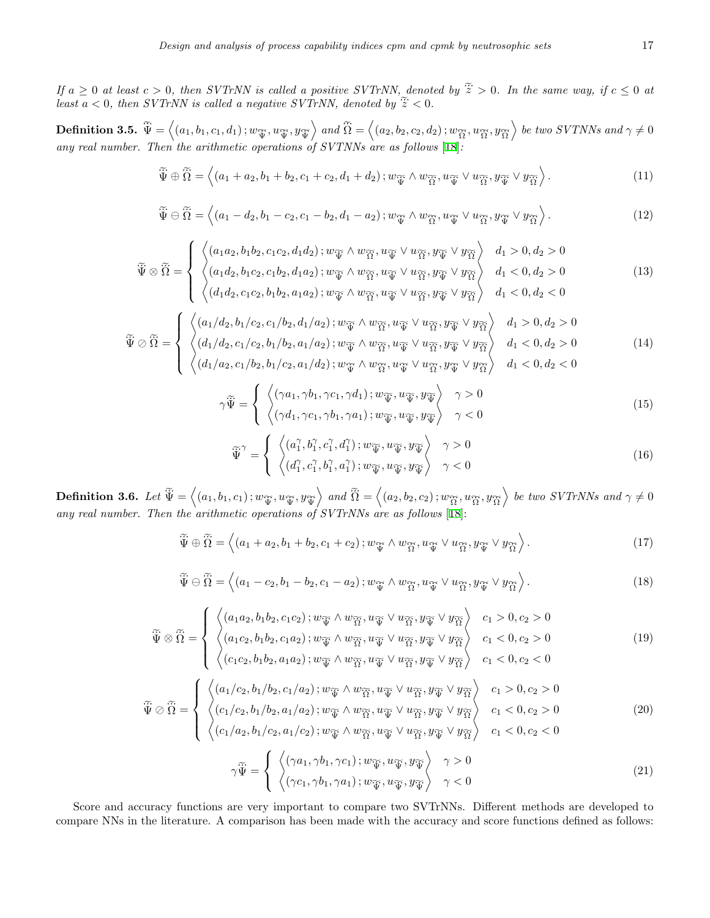*If*  $a \geq 0$  *at least*  $c > 0$ , then *SVTrNN* is called a positive *SVTrNN*, denoted by  $\tilde{\ddot{z}} > 0$ . In the same way, if  $c \leq 0$  at *least c* > 0, then *SVTrNN* is called a positive *SVTrNN*, denoted by  $\tilde{z}$  < 0, then *SVTrNN* is called a negative *SVTrNN*, denoted by  $\tilde{z}$  < 0. If  $a \ge 0$  at least  $c > 0$ , then SVTrNN is called a positive<br>least  $a < 0$ , then SVTrNN is called a negative SVTrNN, do<br>**Definition 3.5.**  $\widetilde{\Psi} = \langle (a_1, b_1, c_1, d_1); w_{\widetilde{\mathfrak{X}}}, u_{\widetilde{\mathfrak{X}}}, y_{\widetilde{\mathfrak{X}}}\rangle$  and  $\widetilde{\Omega$ ⟨⟩

 $\widetilde{\Psi} = \langle (a_1, b_1, c_1, d_1); w_{\widetilde{\Psi}}, u_{\widetilde{\Psi}}, y_{\widetilde{\Psi}} \rangle$  and  $\widetilde{\Omega} = \langle (a_2, b_2, c_2, d_2); w_{\widetilde{\Omega}}, u_{\widetilde{\Omega}}, y_{\widetilde{\Omega}} \rangle$  be two SVTNNs and  $\gamma \neq 0$ *any real number. Then the arithmetic operations of SVTNNs are as follows* [[18\]](#page-16-12)*:*  $e = \begin{cases} (a_1) \neq 0 \text{ and } b_2 \neq 0 \end{cases}$  $at$  and  $at$  and  $at$  are  $at$  as  $out$  as  $out$  as  $out$   $\{18\}$ .

$$
\widetilde{\Psi} \oplus \widetilde{\Omega} = \left\langle (a_1 + a_2, b_1 + b_2, c_1 + c_2, d_1 + d_2) ; w_{\widetilde{\Psi}} \wedge w_{\widetilde{\Omega}}, u_{\widetilde{\Psi}} \vee u_{\widetilde{\Omega}}, y_{\widetilde{\Psi}} \vee y_{\widetilde{\Omega}} \right\rangle.
$$
\n(11)  
\n
$$
\widetilde{\Psi} \oplus \widetilde{\Omega} = \left\langle (a_1 - d_2, b_1 - c_2, c_1 - b_2, d_1 - a_2) ; w_{\widetilde{\Psi}} \wedge w_{\widetilde{\Omega}}, u_{\widetilde{\Psi}} \vee u_{\widetilde{\Omega}}, y_{\widetilde{\Psi}} \vee y_{\widetilde{\Omega}} \right\rangle.
$$

$$
\widetilde{\Psi} \ominus \widetilde{\Omega} = \left\langle (a_1 - d_2, b_1 - c_2, c_1 - b_2, d_1 - a_2) ; w_{\widetilde{\Psi}} \wedge w_{\widetilde{\Omega}}, u_{\widetilde{\Psi}} \vee u_{\widetilde{\Omega}}, y_{\widetilde{\Psi}} \vee y_{\widetilde{\Omega}} \right\rangle.
$$
\n(12)

$$
\Psi \ominus \Omega = \left\langle (a_1 - d_2, b_1 - c_2, c_1 - b_2, d_1 - a_2); w_{\widetilde{\mathcal{V}}} \wedge w_{\widetilde{\Omega}}, u_{\widetilde{\mathcal{V}}} \vee u_{\widetilde{\Omega}}, y_{\widetilde{\mathcal{V}}} \vee y_{\widetilde{\Omega}} \right\rangle.
$$
\n(12)\n
$$
\widetilde{\Psi} \otimes \widetilde{\Omega} = \begin{cases}\n\left\langle (a_1 a_2, b_1 b_2, c_1 c_2, d_1 d_2); w_{\widetilde{\mathcal{V}}} \wedge w_{\widetilde{\Omega}}, u_{\widetilde{\mathcal{V}}} \vee u_{\widetilde{\Omega}}, y_{\widetilde{\mathcal{V}}} \vee y_{\widetilde{\Omega}} \right\rangle & d_1 > 0, d_2 > 0 \\
\left\langle (a_1 d_2, b_1 c_2, c_1 b_2, d_1 a_2); w_{\widetilde{\mathcal{V}}} \wedge w_{\widetilde{\Omega}}, u_{\widetilde{\mathcal{V}}} \vee u_{\widetilde{\Omega}}, y_{\widetilde{\mathcal{V}}} \vee y_{\widetilde{\Omega}} \right\rangle & d_1 < 0, d_2 > 0 \\
\left\langle (d_1 d_2, c_1 c_2, b_1 b_2, a_1 a_2); w_{\widetilde{\mathcal{V}}} \wedge w_{\widetilde{\Omega}}, u_{\widetilde{\mathcal{V}}} \vee u_{\widetilde{\Omega}}, y_{\widetilde{\mathcal{V}}} \vee y_{\widetilde{\Omega}} \right\rangle & d_1 < 0, d_2 < 0\n\end{cases} \tag{13}
$$

$$
\widetilde{\Psi} \otimes \widetilde{\Omega} = \begin{cases}\n\left\langle (d_1 d_2, c_1 c_2, b_1 b_2, a_1 a_2); w_{\widetilde{\Psi}} \wedge w_{\widetilde{\Omega}}, u_{\widetilde{\Psi}} \vee u_{\widetilde{\Omega}}, y_{\widetilde{\Psi}} \vee y_{\widetilde{\Omega}}) & d_1 < 0, d_2 < 0 \\
\left\langle (a_1 / d_2, b_1 / c_2, c_1 / b_2, d_1 / a_2); w_{\widetilde{\Psi}} \wedge w_{\widetilde{\Omega}}, u_{\widetilde{\Psi}} \vee u_{\widetilde{\Omega}}, y_{\widetilde{\Psi}} \vee y_{\widetilde{\Omega}}) & d_1 > 0, d_2 > 0 \\
\left\langle (d_1 / d_2, c_1 / c_2, b_1 / b_2, a_1 / a_2); w_{\widetilde{\Psi}} \wedge w_{\widetilde{\Omega}}, u_{\widetilde{\Psi}} \vee u_{\widetilde{\Omega}}, y_{\widetilde{\Psi}} \vee y_{\widetilde{\Omega}}) & d_1 < 0, d_2 > 0 \\
\left\langle (d_1 / a_2, c_1 / b_2, b_1 / c_2, a_1 / d_2); w_{\widetilde{\Psi}} \wedge w_{\widetilde{\Omega}}, u_{\widetilde{\Psi}} \vee u_{\widetilde{\Omega}}, y_{\widetilde{\Psi}} \vee y_{\widetilde{\Omega}}) & d_1 < 0, d_2 < 0\n\end{cases} \right. (14)
$$

$$
\gamma \widetilde{\Psi} = \begin{cases} \left\langle (\gamma a_1, \gamma b_1, \gamma c_1, \gamma d_1) ; w_{\widetilde{\Psi}}, u_{\widetilde{\Psi}}, y_{\widetilde{\Psi}} \right\rangle & \gamma > 0 \\ \left\langle (\gamma d_1, \gamma c_1, \gamma b_1, \gamma a_1) ; w_{\widetilde{\Psi}}, u_{\widetilde{\Psi}}, y_{\widetilde{\Psi}} \right\rangle & \gamma < 0 \end{cases}
$$
(15)

$$
\widetilde{\Psi}^{\gamma} = \begin{cases}\n\left\langle (a_1^{\gamma}, b_1^{\gamma}, c_1^{\gamma}, d_1^{\gamma}) ; w_{\widetilde{\Psi}}, u_{\widetilde{\Psi}}, y_{\widetilde{\Psi}}\right\rangle & \gamma > 0 \\
\left\langle (d_1^{\gamma}, c_1^{\gamma}, b_1^{\gamma}, a_1^{\gamma}) ; w_{\widetilde{\Psi}}, u_{\widetilde{\Psi}}, y_{\widetilde{\Psi}}\right\rangle & \gamma < 0\n\end{cases}
$$
\n(16)\n  
\n
$$
c_1) ; w_{\widetilde{\Psi}}, u_{\widetilde{\Psi}}, y_{\widetilde{\Psi}}\right\rangle \text{ and } \widetilde{\Omega} = \left\langle (a_2, b_2, c_2) ; w_{\widetilde{\Omega}}, u_{\widetilde{\Omega}}, y_{\widetilde{\Omega}}\right\rangle \text{ be two } SVTrNNs \text{ and } \gamma \neq 0
$$

 $\begin{split} \widetilde{\Psi}^{\gamma} = \left\{ \begin{array}{c} \left\langle (a_1^{\gamma}, b_1^{\gamma}, \cdots) \right. \ \left. \left\langle (d_1^{\gamma}, c_1^{\gamma}, \cdots) \right. \right. \ \left. \left\langle (d_1^{\gamma}, c_1^{\gamma}, \cdots) \right. \right. \right. \ \left. \left. \left\langle (d_1^{\gamma}, b_1^{\gamma}, \cdots) \right. \left. \left. \left\langle (d_1^{\gamma}, b_1^{\gamma}, \cdots) \right. \right. \right. \right. \ \left. \left. \left\langle (d_1^{\gamma}, b_1^$ *any real number. Then the arithmetic operations of SVTrNNs are as follows* [\[18](#page-16-12)]:  $=\Big\langle (a_1$ <br>*he ari*<br> $\widetilde{\widetilde{\Psi}}\oplus \widetilde{\widetilde{\Omega}}$ *Etic operations of SVITIVIVS are as follows* [18].

$$
\widetilde{\Psi} \oplus \widetilde{\Omega} = \left\langle (a_1 + a_2, b_1 + b_2, c_1 + c_2); w_{\widetilde{\Psi}} \wedge w_{\widetilde{\Omega}}, u_{\widetilde{\Psi}} \vee u_{\widetilde{\Omega}}, y_{\widetilde{\Psi}} \vee y_{\widetilde{\Omega}} \right\rangle.
$$
\n(17)  
\n
$$
\widetilde{\Psi} \ominus \widetilde{\Omega} = \left\langle (a_1 - c_2, b_1 - b_2, c_1 - a_2); w_{\widetilde{\Psi}} \wedge w_{\widetilde{\Omega}}, u_{\widetilde{\Psi}} \vee u_{\widetilde{\Omega}}, y_{\widetilde{\Psi}} \vee y_{\widetilde{\Omega}} \right\rangle.
$$

$$
\widetilde{\Psi} \ominus \widetilde{\Omega} = \left\langle (a_1 - c_2, b_1 - b_2, c_1 - a_2); w_{\widetilde{\Psi}} \wedge w_{\widetilde{\Omega}}, u_{\widetilde{\Psi}} \vee u_{\widetilde{\Omega}}, y_{\widetilde{\Psi}} \vee y_{\widetilde{\Omega}} \right\rangle.
$$
\n(18)

$$
\Psi \ominus \Omega = \left\langle (a_1 - c_2, b_1 - b_2, c_1 - a_2); w_{\widetilde{\Psi}} \wedge w_{\widetilde{\Omega}}, u_{\widetilde{\Psi}} \vee u_{\widetilde{\Omega}}, y_{\widetilde{\Psi}} \vee y_{\widetilde{\Omega}} \right\rangle.
$$
\n
$$
\widetilde{\Psi} \otimes \widetilde{\Omega} = \left\{ \begin{array}{ll} \left\langle (a_1 a_2, b_1 b_2, c_1 c_2); w_{\widetilde{\Psi}} \wedge w_{\widetilde{\Omega}}, u_{\widetilde{\Psi}} \vee u_{\widetilde{\Omega}}, y_{\widetilde{\Psi}} \vee y_{\widetilde{\Omega}} \right\rangle & c_1 > 0, c_2 > 0 \\ \left\langle (a_1 c_2, b_1 b_2, c_1 a_2); w_{\widetilde{\Psi}} \wedge w_{\widetilde{\Omega}}, u_{\widetilde{\Psi}} \vee u_{\widetilde{\Omega}}, y_{\widetilde{\Psi}} \vee y_{\widetilde{\Omega}} \right\rangle & c_1 < 0, c_2 > 0 \\ \left\langle (c_1 c_2, b_1 b_2, a_1 a_2); w_{\widetilde{\Psi}} \wedge w_{\widetilde{\Omega}}, u_{\widetilde{\Psi}} \vee u_{\widetilde{\Omega}}, y_{\widetilde{\Psi}} \vee y_{\widetilde{\Omega}} \right\rangle & c_1 < 0, c_2 < 0 \end{array} \right. \tag{19}
$$

$$
\widetilde{\Psi} \otimes \widetilde{\Omega} = \begin{cases}\n\left\langle (c_1c_2, b_1b_2, a_1a_2); w_{\widetilde{\mathcal{V}}} \wedge w_{\widetilde{\Omega}}, u_{\widetilde{\mathcal{V}}} \vee u_{\widetilde{\Omega}}, y_{\widetilde{\mathcal{V}}} \vee y_{\widetilde{\Omega}} \right\rangle & c_1 < 0, c_2 < 0 \\
\left\langle (a_1/c_2, b_1/b_2, c_1/a_2); w_{\widetilde{\mathcal{V}}} \wedge w_{\widetilde{\Omega}}, u_{\widetilde{\mathcal{V}}} \vee u_{\widetilde{\Omega}}, y_{\widetilde{\mathcal{V}}} \vee y_{\widetilde{\Omega}} \right\rangle & c_1 > 0, c_2 > 0 \\
\left\langle (c_1/c_2, b_1/b_2, a_1/a_2); w_{\widetilde{\mathcal{V}}} \wedge w_{\widetilde{\Omega}}, u_{\widetilde{\mathcal{V}}} \vee u_{\widetilde{\Omega}}, y_{\widetilde{\mathcal{V}}} \vee y_{\widetilde{\Omega}} \right\rangle & c_1 < 0, c_2 > 0 \\
\left\langle (c_1/a_2, b_1/c_2, a_1/c_2); w_{\widetilde{\mathcal{V}}} \wedge w_{\widetilde{\Omega}}, u_{\widetilde{\mathcal{V}}} \vee u_{\widetilde{\Omega}}, y_{\widetilde{\mathcal{V}}} \vee y_{\widetilde{\Omega}} \right\rangle & c_1 < 0, c_2 < 0\n\end{cases} \tag{20}
$$

$$
\gamma \widetilde{\Psi} = \begin{cases} \left\langle (\gamma a_1, \gamma b_1, \gamma c_1) ; w_{\widetilde{\Psi}}, u_{\widetilde{\Psi}}, y_{\widetilde{\Psi}} \right\rangle & \gamma > 0 \\ \left\langle (\gamma c_1, \gamma b_1, \gamma a_1) ; w_{\widetilde{\Psi}}, u_{\widetilde{\Psi}}, y_{\widetilde{\Psi}} \right\rangle & \gamma < 0 \end{cases}
$$
\n(21)

<span id="page-4-0"></span>Score and accuracy functions are very important to compare two SVTrNNs. Different methods are developed to compare NNs in the literature. A comparison has been made with the accuracy and score functions defined as follows: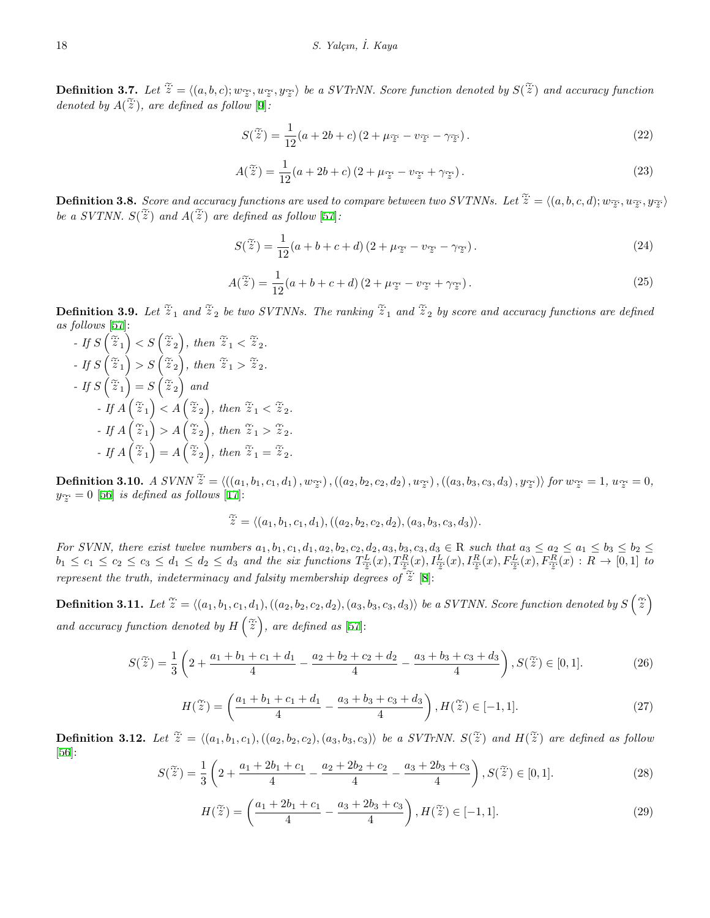18<br>
S. Yalçın, İ. Kaya<br> **Definition 3.7.** Let  $\tilde{z} = \langle (a, b, c); w_{\tilde{z}}, w_{\tilde{z}}, y_{\tilde{z}} \rangle$  be a SVTrNN. Score function denoted by  $S(\tilde{\tilde{z}})$  and accuracy function  $\mathbf{Definition \: 3.7} \ \ and \ \ a \ node \ by \ A(\ \widetilde{\check{z}} \$  $\widetilde{z}$ , are defined as follow [[9\]](#page-15-5): *z*, *u*<br>pw [9]<br> $S(\tilde{\tilde{z}})$ 

$$
S(\tilde{\tilde{z}}) = \frac{1}{12}(a+2b+c)(2+\mu_{\tilde{z}} - v_{\tilde{z}} - \gamma_{\tilde{z}}).
$$
  
\n
$$
A(\tilde{\tilde{z}}) = \frac{1}{12}(a+2b+c)(2+\mu_{\tilde{z}} - v_{\tilde{z}} + \gamma_{\tilde{z}}).
$$
\n(23)

<span id="page-5-4"></span><span id="page-5-3"></span>
$$
A(\tilde{\ddot{z}}) = \frac{1}{12}(a+2b+c)(2+\mu_{\tilde{z}} - v_{\tilde{z}} + \gamma_{\tilde{z}}).
$$
\nDefinition 3.8. Score and accuracy functions are used to compare between two SVTNNs. Let  $\tilde{\ddot{z}} = \langle (a, b, c, d); w_{\tilde{z}}, w_{\tilde{z}}, y_{\tilde{z}} \rangle$ 

<span id="page-5-0"></span>*befinition 3.8. Score and achieve a SVTNN.*  $S(\tilde{\tilde{z}})$  and  $A(\tilde{\tilde{z}})$  $\widetilde{z}$  ) and  $A(\widetilde{z})$  are defined as follow [\[57](#page-17-10)]: *s* fun<br>defin<br> $S(\tilde{\ddot{z}})$ 

$$
S(\tilde{\tilde{z}}) = \frac{1}{12}(a+b+c+d)(2+\mu_{\tilde{z}} - v_{\tilde{z}} - \gamma_{\tilde{z}}).
$$
\n
$$
A(\tilde{\tilde{z}}) = \frac{1}{12}(a+b+c+d)(2+\mu_{\tilde{z}} - v_{\tilde{z}} + \gamma_{\tilde{z}}).
$$
\n(24)

<span id="page-5-5"></span>
$$
A(\tilde{\tilde{z}}) = \frac{1}{12}(a+b+c+d)(2+\mu_{\tilde{z}} - \nu_{\tilde{z}} + \gamma_{\tilde{z}}).
$$
\n**Definition 3.9.** Let  $\tilde{\tilde{z}}_1$  and  $\tilde{\tilde{z}}_2$  be two SVTNNs. The ranking  $\tilde{\tilde{z}}_1$  and  $\tilde{\tilde{z}}_2$  by score and accuracy functions are defined.

as follows [[57\]](#page-17-10): *Let*  $\widetilde{\widetilde{z}}_1$  *c*<br>  $\lt S\left(\widetilde{\widetilde{z}}_2\right)$  $and \ \widetilde{\ddot{z}}_2$  be two  $S$ <br>*, then*  $\widetilde{\ddot{z}}_1 < \widetilde{\ddot{z}}_2$ . e $\ddot{z}$  $\begin{matrix} \sim \\ \sim \end{matrix}$   $\begin{matrix} \sim \\ \sim \end{matrix}$ 

*- If S*  $\left(\widetilde{\ddot{z}}_1\right)$ *- If S*  $\widetilde{z}_1$ *b*  $\vec{z}_1$  *c*<br>  $\leq S\left(\frac{\widetilde{z}}{z}_2\right)$ <br>  $> S\left(\frac{\widetilde{z}}{z}_2\right)$  $i$  *z*  $i$  *z*  $i$  *z*  $i$  *z*  $i$  *z*  $i$  *z*  $i$  *z*  $i$  *z*  $i$  *z*  $i$  *z*  $i$  *z*  $i$  *z*  $i$  *z*  $i$  *z*  $i$  *z*  $i$  *z*  $i$  *z*  $i$  *z*  $i$  *z*  $i$  *z*  $i$  *z*  $i$  *z*  $i$  *z*  $i$  *z*  $i$  *z*  $i$  *z*  $i$  *z*  $i$  *- If S*  $\widetilde{z}_1$ ) = *S* $\widetilde{C}$  $= S\left(\widetilde{\ddot{z}}_2\right)$  and *- If A* ( $\widetilde{z}_1$  $\begin{aligned} S\left(\begin{matrix} z\ 2 \end{matrix}\right),\ S\left(\begin{matrix} \widetilde{z}\ 2 \end{matrix}\right),\ S\left(\begin{matrix} \widetilde{z}\ 2 \end{matrix}\right),\ S\left(\begin{matrix} \widetilde{z}\ 2 \end{matrix}\right),\ A\left(\begin{matrix} \end{matrix}\right), \end{aligned}$ then  $\widetilde{z}_1 > \widetilde{z}_2$ .<br>
and<br>  $\widetilde{z}_2$ , then  $\widetilde{z}_1 < \widetilde{z}_2$ .  $e<sub>1</sub>$  $n \widetilde{z}_1 > 2$ <br>*, then*  $\widetilde{z}$ *- If A*  $($   $>$   $S$   $($   $z$   $_2$   $),$  then  $\widetilde{z}_1$ <sup> $\Big)$ </sup>  $\left(\begin{array}{c} z_{2} \end{array}\right)$ , then<br>  $\left(\begin{array}{c} \tilde{z}_{2} \end{array}\right)$  and<br>  $\left\langle \begin{array}{c} A \end{array}\right(\begin{array}{c} \tilde{z}_{2} \end{array}\right)$ <br>  $\geq A\left(\begin{array}{c} \tilde{z}_{2} \end{array}\right)$ *f*, then  $\widetilde{\ddot{z}}_1 < \widetilde{\ddot{z}}_2$ .<br> *z* then  $\widetilde{\ddot{z}}_1 > \widetilde{\ddot{z}}_2$ . *- If A*  $($  = S  $(z_2)$  and e $\widetilde{z}_1$ **)** =  $A$   $\left(\right)$ e $\widetilde{z}_2$ ) *, then*  $\widetilde{\ddot{z}}_1 < \widetilde{\ddot{z}}_2$ .<br> *, then*  $\widetilde{\ddot{z}}_1 > \widetilde{\ddot{z}}_2$ .<br> *z n*  $\widetilde{\ddot{z}}_1 = \widetilde{\ddot{z}}_2$ .  $\begin{align} \textit{I} &\textit{f}~A\left(\widetilde{\widetilde{z}}_1\right) > A\left(\widetilde{\widetilde{z}}_2\right) \ \textit{I} &\textit{f}~A\left(\widetilde{\widetilde{z}}_1\right) = A\left(\widetilde{\widetilde{z}}_2\right) \ \textit{Definition 3.10.} &\textit{A}~\textit{SVNN}~\widetilde{\widetilde{z}} \end{align}$ 

 $\widetilde{z} = \langle ((a_1, b_1, c_1, d_1), w_{\widetilde{z}}), ((a_2, b_2, c_2, d_2), w_{\widetilde{z}}), ((a_3, b_3, c_3, d_3), y_{\widetilde{z}}) \rangle \text{ for } w_{\widetilde{z}} = 1, w_{\widetilde{z}} = 0,$  $y_{\widetilde{z}} = 0$  [\[56](#page-17-11)] *is defined as follows* [[17\]](#page-16-14):

$$
\widetilde{z} = \langle (a_1, b_1, c_1, d_1), ((a_2, b_2, c_2, d_2), (a_3, b_3, c_3, d_3) \rangle.
$$

For SVNN, there exist twelve numbers  $a_1, b_1, c_1, d_1, a_2, b_2, c_2, d_2, a_3, b_3, c_3, d_3 \in \mathbb{R}$  such that  $a_3 \le a_2 \le a_1 \le b_3 \le b_2 \le b_3$  $b_1 \leq c_1 \leq c_2 \leq c_3 \leq d_1 \leq d_2 \leq d_3$  and the six functions  $T_{\frac{L}{2}}^L(x), T_{\frac{R}{2}}^R(x), I_{\frac{L}{2}}^L(x), I_{\frac{R}{2}}^R(x), F_{\frac{L}{2}}^L(x), F_{\frac{R}{2}}^R(x), F_{\frac{R}{2}}^R(x) : R \to [0,1]$  to  $z = \langle (a_1, b_1, c_1, d_1), ((a_2, b_2, c_2, d_2), (d_1, d_2, b_2, c_2, d_2), (b_1, c_1, c_1, d_1, d_2, b_2, c_2, d_2, a_3, b_3, b_1 \leq c_1 \leq c_2 \leq c_3 \leq d_1 \leq d_2 \leq d_3$  and the six functions  $T^L_{\tilde{z}}(x), T^R_{\tilde{z}}(x)$  represent the truth, indeter *z z*  $\frac{z}{2}$  *z*  $\frac{z}{2}$  *z*  $\frac{z}{2}$  *z*  $\frac{z}{2}$  [\[8](#page-15-6)]: For SVNN, there exist<br> $b_1 \le c_1 \le c_2 \le c_3 \le d$ <br>represent the truth, inde<br>**Definition 3.11.** Let  $\widetilde{z}$  $\mathbf{r}$ e)and

<span id="page-5-1"></span> $\widetilde{z} = \langle (a_1, b_1, c_1, d_1), ((a_2, b_2, c_2, d_2), (a_3, b_3, c_3, d_3) \rangle$  be a SVTNN. Score function denoted by S  $= \langle (a_1, b_1, c_1, d_1), ((a_2, b_2, c_2, d_2), (a_3, b_3, c_3, d_3) \rangle$  be a SVTNN. Score function denoted by  $S(\tilde{\ddot{z}})$ *and accuracy function denoted by H*  $\left(\frac{\widetilde{x}}{z}\right)$ , are defined as [[57\]](#page-17-10): 11.<br><sup>func</sup><br>S(ž  $e$  *fun*<br> $\frac{1}{2}$ ,  $S(\widetilde{\widetilde{z}})$ 

$$
S(\tilde{\tilde{z}}) = \frac{1}{3} \left( 2 + \frac{a_1 + b_1 + c_1 + d_1}{4} - \frac{a_2 + b_2 + c_2 + d_2}{4} - \frac{a_3 + b_3 + c_3 + d_3}{4} \right), S(\tilde{\tilde{z}}) \in [0, 1].
$$
\n
$$
H(\tilde{\tilde{z}}) = \left( \frac{a_1 + b_1 + c_1 + d_1}{4} - \frac{a_3 + b_3 + c_3 + d_3}{4} \right), H(\tilde{\tilde{z}}) \in [-1, 1].
$$
\n(27)

$$
H(\tilde{\tilde{z}}) = \left(\frac{a_1 + b_1 + c_1 + d_1}{4} - \frac{a_3 + b_3 + c_3 + d_3}{4}\right), H(\tilde{\tilde{z}}) \in [-1, 1].
$$
\n**Definition 3.12.** Let  $\tilde{\tilde{z}} = \langle (a_1, b_1, c_1), ((a_2, b_2, c_2), (a_3, b_3, c_3)) \rangle$  be a SVTrNN.  $S(\tilde{\tilde{z}})$  and  $H(\tilde{\tilde{z}})$  are defined as follow

<span id="page-5-7"></span><span id="page-5-6"></span><span id="page-5-2"></span>[[56\]](#page-17-11): Let  $\tilde{\mathcal{Z}} = \langle (a_1, b_1, c_1), ((a_2, b_2, c_2), (a_3, b_3, c_3) \rangle$  be a SVTrNN.  $S(\tilde{\mathcal{Z}})$  and<br>  $S(\tilde{\mathcal{Z}}) = \frac{1}{2} \left( 2 + \frac{a_1 + 2b_1 + c_1}{4} - \frac{a_2 + 2b_2 + c_2}{4} - \frac{a_3 + 2b_3 + c_3}{4} \right), S(\tilde{\mathcal{Z}})$  $\overline{a}$ 

$$
S(\tilde{z}) = \frac{1}{3} \left( 2 + \frac{a_1 + 2b_1 + c_1}{4} - \frac{a_2 + 2b_2 + c_2}{4} - \frac{a_3 + 2b_3 + c_3}{4} \right), S(\tilde{z}) \in [0, 1].
$$
\n
$$
H(\tilde{z}) = \left( \frac{a_1 + 2b_1 + c_1}{4} - \frac{a_2 + 2b_2 + c_2}{4} - \frac{a_3 + 2b_3 + c_3}{4} \right), H(\tilde{z}) \in [-1, 1].
$$
\n(28)

$$
H(\tilde{\tilde{z}}) = \left(\frac{a_1 + 2b_1 + c_1}{4} - \frac{a_3 + 2b_3 + c_3}{4}\right), H(\tilde{\tilde{z}}) \in [-1, 1].
$$
 (29)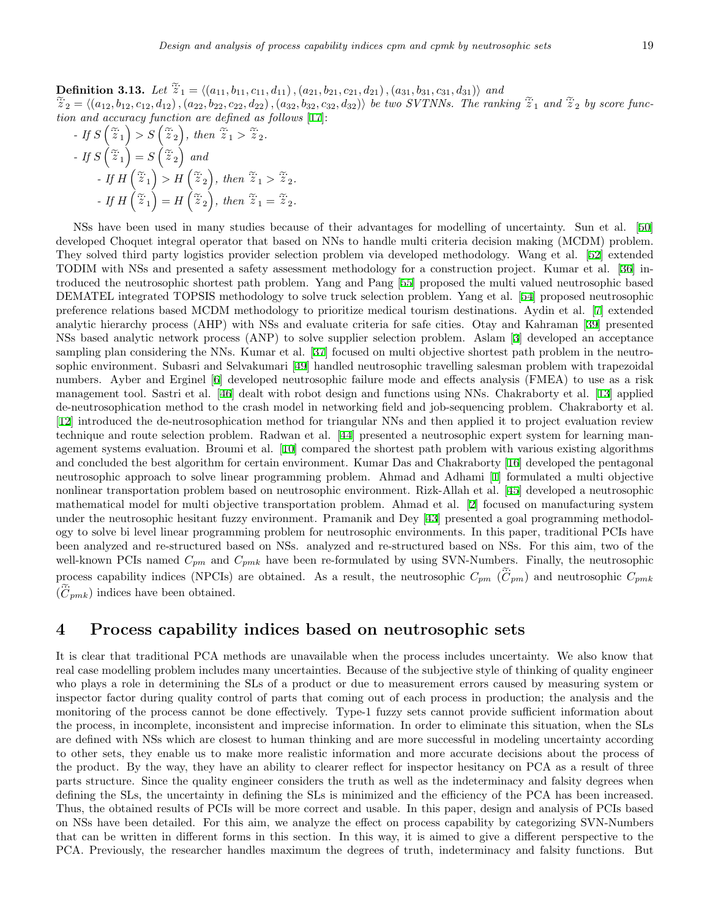Design and analysis of process capability indices cpm and cpmk by neutros<br> **Definition 3.13.** Let  $\widetilde{z}_1 = \langle (a_{11}, b_{11}, c_{11}, d_{11}), (a_{21}, b_{21}, c_{21}, d_{21}), (a_{31}, b_{31}, c_{31}, d_{31}) \rangle$  and *z* 19 *besign and analysis of process capability indices cpm and cpmk by neutrosopinc sets*<br> **Definition 3.13.** Let  $\widetilde{z}_1 = \langle (a_{11}, b_{11}, c_{11}, d_{11}), (a_{21}, b_{21}, c_{21}, d_{21}), (a_{31}, b_{31}, c_{31}, d_{31}) \rangle$  and<br>  $\widetilde{z}_2 = \langle (a_{12}, b_{$ Design and analysis of process capability indices cpm and cpmk by neutrosophic<br> **Definition 3.13.** Let  $\tilde{\ddot{z}}_1 = \langle (a_{11}, b_{11}, c_{11}, d_{11}), (a_{21}, b_{21}, c_{21}, d_{21}), (a_{31}, b_{31}, c_{31}, d_{31}) \rangle$  and<br>  $\tilde{\ddot{z}}_2 = \langle (a_{12}, b_{12}, c_{12},$ *tion and accuracy function are defined as follows* [\[17](#page-16-14)]: (**3.** Le<br>  $c_{12}$ ,  $d_1$ <br>  $cy$  fur<br>  $> S \left($  $\begin{array}{l} \n\tilde{z}_1 = \langle (a_{11}, b_{11}, c_{2}), (a_{22}, b_{22}, c_{22}, d_{2}) \n\end{array}$ <br> *ction are defined c*<br>  $\tilde{z}_2$ , then  $\tilde{z}_1 > \tilde{z}$ on 3.13. Let  $z_1$  $\overline{a}$ 

n and accuracy function are defined as follow  
\n- If 
$$
S(\tilde{z}_1) > S(\tilde{z}_2)
$$
, then  $\tilde{z}_1 > \tilde{z}_2$ .  
\n- If  $S(\tilde{z}_1) = S(\tilde{z}_2)$  and  
\n- If  $H(\tilde{z}_1) > H(\tilde{z}_2)$ , then  $\tilde{z}_1 > \tilde{z}_2$ .  
\n- If  $H(\tilde{z}_1) > H(\tilde{z}_2)$ , then  $\tilde{z}_1 > \tilde{z}_2$ .  
\n- If  $H(\tilde{z}_1) = H(\tilde{z}_2)$ , then  $\tilde{z}_1 = \tilde{z}_2$ .

NSs have been used in many studies because of their advantages for modelling of uncertainty. Sun et al. [[50](#page-17-12)] developed Choquet integral operator that based on NNs to handle multi criteria decision making (MCDM) problem. They solved third party logistics provider selection problem via developed methodology. Wang et al. [[52\]](#page-17-13) extended TODIM with NSs and presented a safety assessment methodology for a construction project. Kumar et al. [\[36](#page-17-14)] introduced the neutrosophic shortest path problem. Yang and Pang [[55\]](#page-17-15) proposed the multi valued neutrosophic based DEMATEL integrated TOPSIS methodology to solve truck selection problem. Yang et al. [[54\]](#page-17-16) proposed neutrosophic preference relations based MCDM methodology to prioritize medical tourism destinations. Aydin et al. [[7](#page-15-7)] extended analytic hierarchy process (AHP) with NSs and evaluate criteria for safe cities. Otay and Kahraman [[39\]](#page-17-17) presented NSs based analytic network process (ANP) to solve supplier selection problem. Aslam [[3\]](#page-15-8) developed an acceptance sampling plan considering the NNs. Kumar et al. [\[37](#page-17-18)] focused on multi objective shortest path problem in the neutrosophic environment. Subasri and Selvakumari [[49\]](#page-17-19) handled neutrosophic travelling salesman problem with trapezoidal numbers. Ayber and Erginel [[6\]](#page-15-9) developed neutrosophic failure mode and effects analysis (FMEA) to use as a risk management tool. Sastri et al. [[46\]](#page-17-20) dealt with robot design and functions using NNs. Chakraborty et al. [[13](#page-15-10)] applied de-neutrosophication method to the crash model in networking field and job-sequencing problem. Chakraborty et al. [[12\]](#page-15-11) introduced the de-neutrosophication method for triangular NNs and then applied it to project evaluation review technique and route selection problem. Radwan et al. [[44\]](#page-17-5) presented a neutrosophic expert system for learning management systems evaluation. Broumi et al. [[10\]](#page-15-4) compared the shortest path problem with various existing algorithms and concluded the best algorithm for certain environment. Kumar Das and Chakraborty [[16\]](#page-16-15) developed the pentagonal neutrosophic approach to solve linear programming problem. Ahmad and Adhami [[1\]](#page-15-12) formulated a multi objective nonlinear transportation problem based on neutrosophic environment. Rizk-Allah et al. [[45\]](#page-17-21) developed a neutrosophic mathematical model for multi objective transportation problem. Ahmad et al. [[2](#page-15-13)] focused on manufacturing system under the neutrosophic hesitant fuzzy environment. Pramanik and Dey [[43\]](#page-17-22) presented a goal programming methodology to solve bi level linear programming problem for neutrosophic environments. In this paper, traditional PCIs have ebeen analyzed and re-structured based on NSs. analyzed and re-structured based on NSs. For this aim, two of the well-known PCIs named  $C_{pm}$  and  $C_{pmk}$  have been re-formulated by using SVN-Numbers. Finally, the neutrosophic process capability indices (NPCIs) are obtained. As a result, the neutrosophic  $C_{pm}$  ( $\tilde{C}_{pm}$ ) and neutrosophic  $C_{pmk}$  $(\widehat{C}_{pmk})$  indices have been obtained.

#### **4 Process capability indices based on neutrosophic sets**

It is clear that traditional PCA methods are unavailable when the process includes uncertainty. We also know that real case modelling problem includes many uncertainties. Because of the subjective style of thinking of quality engineer who plays a role in determining the SLs of a product or due to measurement errors caused by measuring system or inspector factor during quality control of parts that coming out of each process in production; the analysis and the monitoring of the process cannot be done effectively. Type-1 fuzzy sets cannot provide sufficient information about the process, in incomplete, inconsistent and imprecise information. In order to eliminate this situation, when the SLs are defined with NSs which are closest to human thinking and are more successful in modeling uncertainty according to other sets, they enable us to make more realistic information and more accurate decisions about the process of the product. By the way, they have an ability to clearer reflect for inspector hesitancy on PCA as a result of three parts structure. Since the quality engineer considers the truth as well as the indeterminacy and falsity degrees when defining the SLs, the uncertainty in defining the SLs is minimized and the efficiency of the PCA has been increased. Thus, the obtained results of PCIs will be more correct and usable. In this paper, design and analysis of PCIs based on NSs have been detailed. For this aim, we analyze the effect on process capability by categorizing SVN-Numbers that can be written in different forms in this section. In this way, it is aimed to give a different perspective to the PCA. Previously, the researcher handles maximum the degrees of truth, indeterminacy and falsity functions. But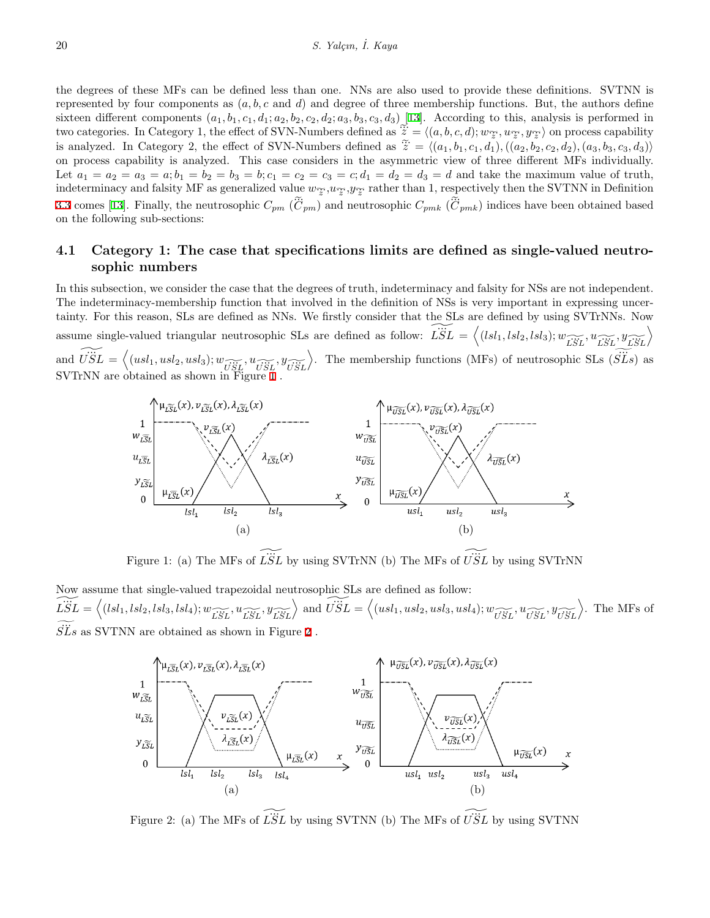the degrees of these MFs can be defined less than one. NNs are also used to provide these definitions. SVTNN is represented by four components as  $(a, b, c \text{ and } d)$  and degree of three membership functions. But, the authors define sixteen different components  $(a_1, b_1, c_1, d_1; a_2, b_2, c_2, d_2; a_3, b_3, c_3, d_3)$  [\[13](#page-15-10)]. According to this, analysis is performed in the degrees of these MFs can be defined less than one. NNs are also used to provide these definitions. SVTNN is<br>represented by four components as  $(a, b, c$  and  $d$ ) and degree of three membership functions. But, the authors the degrees of these MFs can be defined less than one. NNs are also used to provide these definitions. SVTNN is<br>represented by four components as  $(a, b, c$  and d) and degree of three membership functions. But, the authors d on process capability is analyzed. This case considers in the asymmetric view of three different MFs individually. Let  $a_1 = a_2 = a_3 = a$ ;  $b_1 = b_2 = b_3 = b$ ;  $c_1 = c_2 = c_3 = c$ ;  $d_1 = d_2 = d_3 = d$  and take the maximum value of truth, indeterminacy and falsity MF as generalized value  $w_{\widetilde{z}}$ ,  $w_{\widetilde{z}}$ ,  $y_{\widetilde{z}}$  rather than 1, respectively then the SVTNN in Definition [3.3](#page-3-0) comes [\[13](#page-15-10)]. Finally, the neutrosophic  $C_{pm}$  ( $\tilde{C}_{pm}$ ) and neutrosophic  $C_{pmk}$  ( $\tilde{C}_{pmk}$ ) indices have been obtained based on the following sub-sections:

#### **4.1 Category 1: The case that specifications limits are defined as single-valued neutrosophic numbers**

In this subsection, we consider the case that the degrees of truth, indeterminacy and falsity for NSs are not independent. The indeterminacy-membership function that involved in the definition of NSs is very important in expressing uncer-<br>The indeterminacy-membership function that involved in the definition of NSs is very important in expressi tainty. For this reason, SLs are defined as NNs. We firstly consider that the SLs are defined by using SVTrNNs. Now **Example-valued triangular neutrosophic SLs are defined as follow:**  $\overrightarrow{LSL} = \langle (lsl_1, lsl_2, lsl_3); w_{\overrightarrow{LSL}}^T, u_{\overrightarrow{LSL}}^T, u_{\overrightarrow{LSL}}^T \rangle$ The indeterminacy-membership function that involved in the definition of NSs is very important in expressing uncertainty. For this reason, SLs are defined as NNs. We firstly consider that the SLs are defined by using SVTr wed in the definition of NSs is very important in expressing ure firstly consider that the SLs are defined by using SVTrNNs.<br>are defined as follow:  $\widetilde{LSL} = \langle (lsl_1, lsl_2, lsl_3); \widetilde{w_{LSL}}, u_{LSL}, y_{LSL} \rangle$ .<br>The membership funct SVTrNN are obtained as shown in Figure [1](#page-7-0) .



<span id="page-7-0"></span>Figure 1: (a) The MFs of  $\widetilde{LSL}$  by using SVTrNN (b) The MFs of  $\widetilde{USL}$  by using SVTrNN

Now assume that single-valued trapezoidal neutrosophic SLs are defined as follow: Figure 1: (a) The MFs of  $\widetilde{LSL}$  by using SVTrNN (b) The MFs of  $\widetilde{USL}$  by using SVTrNN<br>Now assume that single-valued trapezoidal neutrosophic SLs are defined as follow:<br> $\widetilde{LSL} = \left\langle (lsl_1, lsl_2, lsl_3, lsl_4); w \underset{\widetilde{L$ ...  $S\ddot{L}s$  as SVTNN are obtained as shown in Figure [2](#page-7-1).



<span id="page-7-1"></span>Figure 2: (a) The MFs of  $\widetilde{LSL}$  by using SVTNN (b) The MFs of  $\widetilde{USL}$  by using SVTNN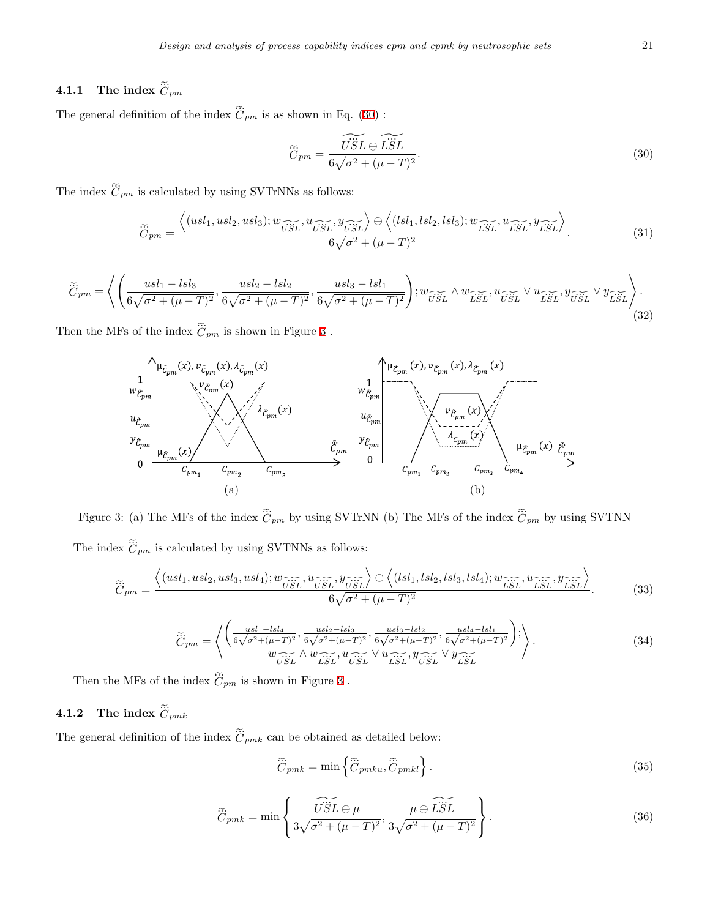# $D_{\ell}$ <br>**4.1.1** The index  $\tilde{\vec{C}}$ *Cpm*

**4.1.1** The index  $\tilde{C}_{pm}$ <br>The general definition of the index  $\tilde{C}_{pm}$  is as shown in Eq. [\(30](#page-8-0)) :

<span id="page-8-0"></span>
$$
\widetilde{C}_{pm} = \frac{\widetilde{U\ddot{S}L} \ominus \widetilde{L\ddot{S}L}}{6\sqrt{\sigma^2 + (\mu - T)^2}}.
$$
\n(30)

 $\widetilde{\ddot{C}}_{pm}=\frac{\widehat{U_{S}^{2}}}{6\sqrt{\sigma}}$  The index  $\widetilde{\ddot{C}}_{pm}$  is calculated by using SVTrNNs as follows: en de la componenta de la componenta de la componenta de la componenta de la componenta de la componenta de la

$$
C_{pm} = \frac{C_{pm}}{6\sqrt{\sigma^2 + (\mu - T)^2}}.
$$
\nis calculated by using SVTrNNs as follows:

\n
$$
\widetilde{C}_{pm} = \frac{\left\langle (usl_1, usl_2, usl_3); w_{\widetilde{USL}}^{\widetilde{\otimes}} u_{\widetilde{USL}}^{\widetilde{\otimes}} u_{\widetilde{USL}}^{\widetilde{\otimes}} v_{\widetilde{USL}}^{\widetilde{\otimes}} \right\rangle \ominus \left\langle (sl_1, lsl_2, lsl_3); w_{\widetilde{LSL}}^{\widetilde{\otimes}} u_{\widetilde{LSL}}^{\widetilde{\otimes}} v_{\widetilde{LSL}}^{\widetilde{\otimes}} v_{\widetilde{LSL}}^{\widetilde{\otimes}} v_{\widetilde{LSL}}^{\widetilde{\otimes}} v_{\widetilde{LSL}}^{\widetilde{\otimes}} \right\rangle}{6\sqrt{\sigma^2 + (\mu - T)^2}}.
$$
\n(31)

\n
$$
\frac{usl_1 - lsl_3}{\sqrt{\sigma^2 + (\mu - T)^2}}, \frac{usl_2 - lsl_2}{6\sqrt{\sigma^2 + (\mu - T)^2}}, \frac{usl_3 - lsl_1}{6\sqrt{\sigma^2 + (\mu - T)^2}} \right); w_{\widetilde{USL}} \wedge w_{\widetilde{LSL}}^{\widetilde{\otimes}} u_{\widetilde{USL}}^{\widetilde{\otimes}} v_{\widetilde{USL}}^{\widetilde{\otimes}} v_{\widetilde{USL}}^{\widetilde{\otimes}} v_{\widetilde{LSL}}^{\widetilde{\otimes}} v_{\widetilde{LSL}}^{\widetilde{\otimes}} v_{\widetilde{LSL}}^{\widetilde{\otimes}} v_{\widetilde{LSL}}^{\widetilde{\otimes}} v_{\widetilde{LSL}}^{\widetilde{\otimes}} v_{\widetilde{LSL}}^{\widetilde{\otimes}} v_{\widetilde{LSL}}^{\widetilde{\otimes}} v_{\widetilde{LSL}}^{\widetilde{\otimes}} v_{\widetilde{LSL}}^{\widetilde{\otimes}} v_{\widetilde{LSL}}^{\widetilde{\otimes}} v_{\widetilde{LSL}}^{\widetilde{\otimes}} v_{\widetilde{LSL}}^{\widetilde{\otimes}} v_{\widetilde{LSL}}^{\widetilde{\otimes
$$

$$
\widetilde{C}_{pm} = \left\langle \left( \frac{usl_1 - lsl_3}{6\sqrt{\sigma^2 + (\mu - T)^2}}, \frac{usl_2 - lsl_2}{6\sqrt{\sigma^2 + (\mu - T)^2}}, \frac{usl_3 - lsl_1}{6\sqrt{\sigma^2 + (\mu - T)^2}} \right) ; w_{\widetilde{USL}} \wedge w_{\widetilde{LSL}} \wedge w_{\widetilde{LSL}} \vee u_{\widetilde{LSL}} \vee u_{\widetilde{USL}} \vee y_{\widetilde{LSL}} \right\rangle \right\}
$$
\nThen the MFs of the index  $\widetilde{C}_{pm}$  is shown in Figure 3. (32)



<span id="page-8-1"></span> $\tilde{\ddot{C}}_{pm}$  by using SVTNN Figure 3: (a)<br>The index  $\tilde{\tilde{C}}$  $\tilde{\vec{C}}_{pm}$  is calculated by using SVTNNs as follows: en<br>Geboortes en die Soos van die Soos van die Soos van die Soos van die Soos van die Soos van die Soos van die S The MFs of the index  $\tilde{C}_{pm}$  by using SVTrNN (b) The MFs of the index  $\tilde{C}_{pm}$  by using<br>is calculated by using SVTNNs as follows:<br> $\left\langle (usl_1, usl_2, usl_3, usl_4); w_{\widetilde{USL}}^T, u_{\widetilde{USL}}^T, y_{\widetilde{USL}}^T \right\rangle \ominus \left\langle (lsl_1, lsl_2,$ 

$$
\widetilde{C}_{pm} = \frac{\left\langle (usl_1, usl_2, usl_3, usl_4); w_{\widetilde{USL}}^{\mathop{\sim}} , u_{\widetilde{USL}}^{\mathop{\sim}} , y_{\widetilde{USL}}^{\mathop{\sim}} \right\rangle \ominus \left\langle (lsl_1, lsl_2, lsl_3, lsl_4); w_{\widetilde{LSL}}^{\mathop{\sim}} , u_{\widetilde{LSL}}^{\mathop{\sim}} , y_{\widetilde{LSL}}^{\mathop{\sim}} \right\rangle}{6\sqrt{\sigma^2 + (\mu - T)^2}}.
$$
\n(33)

$$
\widetilde{C}_{pm} = \left\langle \begin{pmatrix} \frac{usl_1 - lsl_4}{6\sqrt{\sigma^2 + (\mu - T)^2}}, \frac{usl_2 - lsl_3}{6\sqrt{\sigma^2 + (\mu - T)^2}}, \frac{usl_3 - lsl_2}{6\sqrt{\sigma^2 + (\mu - T)^2}}, \frac{usl_4 - lsl_1}{6\sqrt{\sigma^2 + (\mu - T)^2}} \end{pmatrix} \right\rangle.
$$
\n
$$
\text{Then the MFs of the index } \widetilde{C}_{pm} \text{ is shown in Figure 3.}
$$
\n
$$
(34)
$$

## **4.1.2** The index  $\tilde{C}$ ... *Cpmk*

Then the MFs of the index  $C_{pm}$  is shown in Figure 3.<br> **4.1.2** The index  $\tilde{C}_{pmk}$ <br>
The general definition of the index  $\tilde{C}_{pmk}$  can be obtained as detailed below:  $\frac{1}{2}$ 

n be obtained as detailed below:  
\n
$$
\widetilde{C}_{pmk} = \min \left\{ \widetilde{C}_{pmku}, \widetilde{C}_{pmkl} \right\}.
$$
\n(35)

$$
\widetilde{C}_{pmk} = \min\left\{\frac{\widetilde{USL} \ominus \mu}{3\sqrt{\sigma^2 + (\mu - T)^2}}, \frac{\mu \ominus \widetilde{LSL}}{3\sqrt{\sigma^2 + (\mu - T)^2}}\right\}.
$$
\n(36)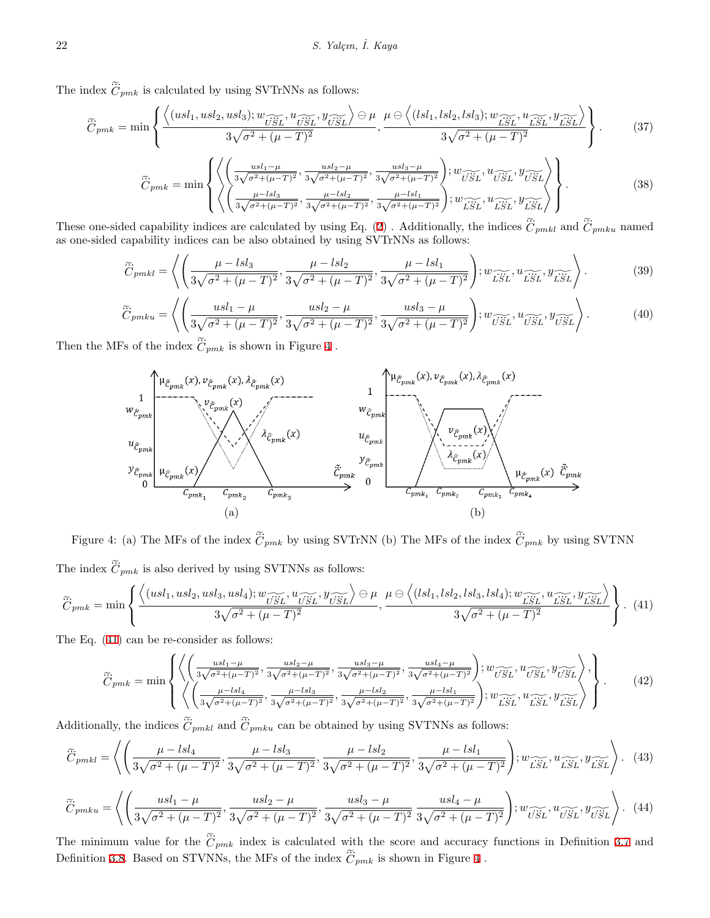22 S. Yalçın,<br>The index  $\tilde{C}_{pmk}$  is calculated by using SVTrNNs as follows:

$$
\tilde{C}_{pmk} \text{ is calculated by using SVTrNNs as follows:}
$$
\n
$$
\tilde{C}_{pmk} = \min \left\{ \frac{\left\langle (usl_1, usl_2, usl_3); w_{\overrightarrow{USL}}, u_{\overrightarrow{USL}}, u_{\overrightarrow{USL}} \right\rangle \ominus \mu}{3\sqrt{\sigma^2 + (\mu - T)^2}}, \frac{\mu \ominus \left\langle (lsl_1, lsl_2, lsl_3); w_{\overrightarrow{LSL}}, u_{\overrightarrow{USL}}, u_{\overrightarrow{LSL}} \right\rangle}{3\sqrt{\sigma^2 + (\mu - T)^2}} \right\}.
$$
\n
$$
\tilde{C}_{pmk} = \min \left\{ \frac{\left\langle (usl_1, usl_2, usl_3); w_{\overrightarrow{USL}}, u_{\overrightarrow{USL}}, u_{\overrightarrow{USL}}, u_{\overrightarrow{USL}}, u_{\overrightarrow{USL}}, u_{\overrightarrow{USL}} \right\rangle}{3\sqrt{\sigma^2 + (\mu - T)^2}} \right\}.
$$
\n
$$
\tilde{C}_{pmk} = \min \left\{ \frac{\left\langle (usl_1, usl_2, usl_3); w_{\overrightarrow{USL}}, u_{\overrightarrow{USL}}, u_{\overrightarrow{USL}}, u_{\overrightarrow{USL}}, u_{\overrightarrow{USL}}, u_{\overrightarrow{USL}} \right\rangle \right\}.
$$
\n(37)

$$
C_{pmk} = \min \left\{ \frac{3\sqrt{\sigma^2 + (\mu - T)^2}}{3\sqrt{\sigma^2 + (\mu - T)^2}}, \frac{3\sqrt{\sigma^2 + (\mu - T)^2}}{3\sqrt{\sigma^2 + (\mu - T)^2}} \right\}.
$$
\n
$$
\widetilde{C}_{pmk} = \min \left\{ \left\langle \left( \frac{usl_1 - \mu}{3\sqrt{\sigma^2 + (\mu - T)^2}}, \frac{usl_2 - \mu}{3\sqrt{\sigma^2 + (\mu - T)^2}}, \frac{usl_3 - \mu}{3\sqrt{\sigma^2 + (\mu - T)^2}} \right), w_{\widetilde{USL}}^T, u_{\widetilde{USL}}^T, y_{\widetilde{USL}}^T \right\rangle \right\}.
$$
\n
$$
\text{These one-sided capability indices are calculated by using Eq. (2). Additionally, the indices } \widetilde{C}_{pmk1} \text{ and } \widetilde{C}_{pmku} \text{ named}
$$

 $\tilde{\ddot{C}}_{pmku}$  named as one-sided capability indices can be also obtained by using  $\text{SVTrNNs}$  as follows:

$$
\left(\left\{\frac{\mu - \text{ess}_{2}}{3\sqrt{\sigma^{2} + (\mu - T)^{2}}}, \frac{\mu - \text{ess}_{2}}{3\sqrt{\sigma^{2} + (\mu - T)^{2}}}\right\}; w\widetilde{\text{ess}}, w\widetilde{\text{ess}}, w\widetilde{\text{ess}}, w\widetilde{\text{ess}}, w\widetilde{\text{ess}}\right)\right)
$$
\nled eq. (2). Additionally, the indices  $\widetilde{C}_{pmkl}$  and  $\widetilde{C}_{pmkl}$  named  
\ncapability indices can be also obtained by using SVTrNNs as follows:  
\n
$$
\widetilde{C}_{pmkl} = \left\langle \left(\frac{\mu - \text{lsl}_{3}}{3\sqrt{\sigma^{2} + (\mu - T)^{2}}}, \frac{\mu - \text{lsl}_{2}}{3\sqrt{\sigma^{2} + (\mu - T)^{2}}}, \frac{\mu - \text{lsl}_{1}}{3\sqrt{\sigma^{2} + (\mu - T)^{2}}}\right); w\widetilde{\text{ess}}, w\widetilde{\text{ess}}, w\widetilde{\text{ess}}, w\widetilde{\text{ess}}\right\rangle. \tag{39}
$$
\n
$$
\widetilde{C}_{pmku} = \left\langle \left(\frac{usl_{1} - \mu}{3\sqrt{\sigma^{2} + (\mu - T)^{2}}}, \frac{usl_{2} - \mu}{3\sqrt{\sigma^{2} + (\mu - T)^{2}}}, \frac{usl_{3} - \mu}{3\sqrt{\sigma^{2} + (\mu - T)^{2}}}\right); w\widetilde{\text{ess}}, w\widetilde{\text{ess}}, w\widetilde{\text{ess}}, w\widetilde{\text{ess}}\right\rangle. \tag{40}
$$

$$
\widetilde{C}_{pmku} = \left\langle \left( \frac{usl_1 - \mu}{3\sqrt{\sigma^2 + (\mu - T)^2}}, \frac{usl_2 - \mu}{3\sqrt{\sigma^2 + (\mu - T)^2}}, \frac{usl_3 - \mu}{3\sqrt{\sigma^2 + (\mu - T)^2}} \right); w_{\widetilde{USL}}^T, u_{\widetilde{USL}}^T, y_{\widetilde{USL}} \right\rangle. \tag{40}
$$
  
Then the MFs of the index  $\widetilde{C}_{pmk}$  is shown in Figure 4.



<span id="page-9-0"></span> $\tilde{C}_{pmk}$  by using SVTNN (a)<br>Figure 4: (a) The MFs of the index  $\tilde{C}_{pmk}$  by using SVTrN<br>The index  $\tilde{C}_{pmk}$  is also derived by using SVTNNs as follows:  $a)$ The MFs of the index  $\tilde{C}_{pmk}$  by using SVTrNN (b) The MFs of the index  $\tilde{C}_{pmk}$  by using SVTN<br>is also derived by using SVTNNs as follows:<br> $\left\langle (usl_1,usl_2,usl_3,usl_4); w_{\widetilde{USL}}^T, u_{\widetilde{USL}}^T, y_{\widetilde{USL}}^T \right\rangle \ominus \mu \quad \mu$ *SVT*<br>follow<br> $\widetilde{v\ddot{s}L}$  $\Gamma$ 

<span id="page-9-1"></span>
$$
\widetilde{C}_{pmk} = \min \left\{ \frac{\left\langle (usl_1, usl_2, usl_3, usl_4); w_{\widetilde{USL}}, u_{\widetilde{USL}}, u_{\widetilde{USL}} \right\rangle \ominus \mu}{3\sqrt{\sigma^2 + (\mu - T)^2}}, \frac{\mu \ominus \left\langle (lsl_1, lsl_2, lsl_3, lsl_4); w_{\widetilde{LSL}}, u_{\widetilde{LSL}}, u_{\widetilde{LSL}} \right\rangle}{3\sqrt{\sigma^2 + (\mu - T)^2}} \right\}. \tag{41}
$$
\nThe Eq. (41) can be re-consider as follows:

\n
$$
\widetilde{\omega}_{\widetilde{C}_{m}} = \int \left\langle \left( \frac{usl_1 - \mu}{3\sqrt{\sigma^2 + (\mu - T)^2}}, \frac{usl_2 - \mu}{3\sqrt{\sigma^2 + (\mu - T)^2}}, \frac{usl_3 - \mu}{3\sqrt{\sigma^2 + (\mu - T)^2}}, \frac{usl_4 - \mu}{3\sqrt{\sigma^2 + (\mu - T)^2}} \right), w_{\widetilde{USL}}, u_{\widetilde{USL}}, u_{\widetilde{USL}} \right\rangle, \tag{42}
$$

The Eq. ([41\)](#page-9-1) can be re-consider as follows:

The Eq. (41) can be re-consider as follows:  
\n
$$
\widetilde{C}_{pmk} = \min \left\{ \left\langle \left( \frac{usl_1 - \mu}{3\sqrt{\sigma^2 + (\mu - T)^2}}, \frac{usl_2 - \mu}{3\sqrt{\sigma^2 + (\mu - T)^2}}, \frac{usl_3 - \mu}{3\sqrt{\sigma^2 + (\mu - T)^2}}, \frac{usl_4 - \mu}{3\sqrt{\sigma^2 + (\mu - T)^2}} \right), w_{\widetilde{USL}}^2, u_{\widetilde{USL}}^2, y_{\widetilde{USL}}^2 \right\rangle, \left\} \right\}.
$$
\n
$$
\left\langle \left( \frac{\mu - lsl_4}{3\sqrt{\sigma^2 + (\mu - T)^2}}, \frac{\mu - lsl_3}{3\sqrt{\sigma^2 + (\mu - T)^2}}, \frac{\mu - lsl_2}{3\sqrt{\sigma^2 + (\mu - T)^2}}, \frac{\mu - lsl_2}{3\sqrt{\sigma^2 + (\mu - T)^2}} \right), w_{\widetilde{LSL}}^2, u_{\widetilde{LSL}}^2, y_{\widetilde{LSL}}^2 \right\rangle \right\}.
$$
\n
$$
\left\{ \left( \frac{\mu - lsl_4}{3\sqrt{\sigma^2 + (\mu - T)^2}}, \frac{\mu - lsl_3}{3\sqrt{\sigma^2 + (\mu - T)^2}}, \frac{\mu - lsl_2}{3\sqrt{\sigma^2 + (\mu - T)^2}}, \frac{\mu - lsl_1}{3\sqrt{\sigma^2 + (\mu - T)^2}} \right), w_{\widetilde{LSL}}^2, u_{\widetilde{LSL}}^2, y_{\widetilde{LSL}}^2 \right\}.
$$
\n(43)

 $\tilde{C}_{pmku}$  can be obtained by using SVTNNs as follows:

$$
\widetilde{C}_{pmkl} = \left\langle \left( \frac{\mu - lsl_4}{3\sqrt{\sigma^2 + (\mu - T)^2}}, \frac{\mu - lsl_3}{3\sqrt{\sigma^2 + (\mu - T)^2}}, \frac{\mu - lsl_2}{3\sqrt{\sigma^2 + (\mu - T)^2}}, \frac{\mu - lsl_1}{3\sqrt{\sigma^2 + (\mu - T)^2}} \right), w_{\widetilde{LSL}}^{\widetilde{LSL}} u_{\widetilde{LSL}}^{\widetilde{LSL}} v_{\widetilde{LSL}}^{\widetilde{LSL}} \right\rangle. (43)
$$
\n
$$
\widetilde{C}_{pmku} = \left\langle \left( \frac{usl_1 - \mu}{3\sqrt{\sigma^2 + (\mu - T)^2}}, \frac{usl_2 - \mu}{3\sqrt{\sigma^2 + (\mu - T)^2}}, \frac{usl_3 - \mu}{3\sqrt{\sigma^2 + (\mu - T)^2}} \frac{usl_4 - \mu}{3\sqrt{\sigma^2 + (\mu - T)^2}} \right), w_{\widetilde{USL}}^{\widetilde{LSL}} v_{\widetilde{USL}}^{\widetilde{LSL}} v_{\widetilde{USL}}^{\widetilde{LSL}} \right\rangle. (44)
$$

$$
\widetilde{C}_{pmku} = \left\langle \left( \frac{usl_1 - \mu}{3\sqrt{\sigma^2 + (\mu - T)^2}}, \frac{usl_2 - \mu}{3\sqrt{\sigma^2 + (\mu - T)^2}}, \frac{usl_3 - \mu}{3\sqrt{\sigma^2 + (\mu - T)^2}} \frac{usl_4 - \mu}{3\sqrt{\sigma^2 + (\mu - T)^2}} \right), w_{\widetilde{USL}}, u_{\widetilde{USL}}, y_{\widetilde{USL}} \right\rangle. (44)
$$
\nThe minimum value for the  $\widetilde{C}_{pmk}$  index is calculated with the score and accuracy functions in Definition 3.7 and Definition 3.8. Based on STVNNs, the MFs of the index  $\widetilde{C}_{pmk}$  is shown in Figure 4.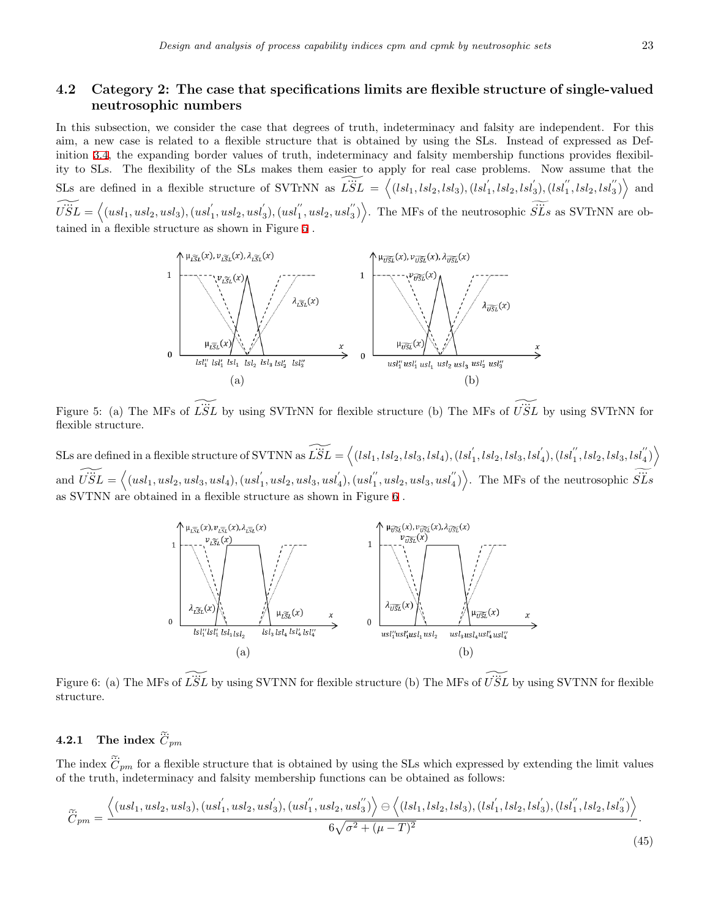#### **4.2 Category 2: The case that specifications limits are flexible structure of single-valued neutrosophic numbers**

In this subsection, we consider the case that degrees of truth, indeterminacy and falsity are independent. For this aim, a new case is related to a flexible structure that is obtained by using the SLs. Instead of expressed as Def-inition [3.4](#page-3-1), the expanding border values of truth, indeterminacy and falsity membership functions provides flexibility to SLs. The flexibility of the SLs makes them easier to apply for real case problems. Now assume that the SLs are defined in a flexible structure of SVTrNN as  $\widetilde{LSL} = \langle (lsl_1, lsl_2, lsl_3), (lsl'_1, lsl_2, lsl'_3), (lsl''_1, lsl_2, lsl''_3) \rangle$  and  $\widetilde{USL} = \left\langle (usl_1, usl_2, usl_3), (usl_1^{'}, usl_2, usl_3^{'}), (usl_1^{''}, usl_2, usl_3^{''}) \right\rangle$ hacy and falsity membership functions provides flexibil-<br>  $\phi$  apply for real case problems. Now assume that the<br>  $= \langle (lsl_1, lsl_2, lsl_3), (lsl'_1, lsl_2, lsl'_3), (lsl''_1, lsl_2, lsl''_3) \rangle$  and<br>  $\therefore$  The MFs of the neutrosophic  $\widetilde{SLS}$ tained in a flexible structure as shown in Figure [5](#page-10-0)



<span id="page-10-0"></span>Figure 5: (a) The MFs of  $\widetilde{LSL}$  by using SVTrNN for flexible structure (b) The MFs of  $\widetilde{USL}$  by using SVTrNN for flexible structure.

SLs are defined in a flexible structure of SVTNN as  $\widetilde{\vec{LSL}} = \left\langle (lsl_1,lsl_2,lsl_3,lsl_4), (lsl_1^{'},lsl_2,lsl_3,lsl_4^{'}), (lsl_1^{''},lsl_2,lsl_3,lsl_4^{''}) \right\rangle$ and  $\widetilde{USL} = \langle (usl_1, usl_2, usl_3, usl_4), (usl_1, usl_2, usl_3, usl_4'), (usl_1'', usl_2, usl_3, usl_4'') \rangle$ . The MFs of the neutrosophic  $\widetilde{SLS}$  $a'_1, lsl_2, lsl_3, lsl'_4), (lsl''_1, lsl_2, lsl_3, lsl''_4)$ . The MFs of the neutrosophic  $\widetilde{SLS}$ as SVTNN are obtained in a flexible structure as shown in Figure [6](#page-10-1) .



<span id="page-10-1"></span>Figure 6: (a) The MFs of  $\widetilde{LSL}$  by using SVTNN for flexible structure (b) The MFs of  $\widetilde{USL}$  by using SVTNN for flexible structure. Figure 6: (a) The MFs<br>structure.<br>**4.2.1** The index  $\tilde{C}$ 

#### $\mathbf{A}$  index  $C_{pm}$

**4.2.1** The index  $\tilde{C}_{pm}$ <br>The index  $\tilde{C}_{pm}$  for a flexible structure that is obtained by using the SLs which expressed by extending the limit values of the truth, indeterminacy and falsity membership functions can be obtained as follows:

$$
\widetilde{C}_{pm} = \frac{\left\langle (usl_1, usl_2, usl_3), (usl_1^{'}, usl_2, usl_3^{'}), (usl_1^{''}, usl_2, usl_3^{''}) \right\rangle \ominus \left\langle (lsl_1, lsl_2, lsl_3), (lsl_1^{'}, lsl_2, lsl_3^{'}), (lsl_1^{''}, lsl_2, lsl_3^{''}) \right\rangle}{6\sqrt{\sigma^2 + (\mu - T)^2}}.
$$
\n(45)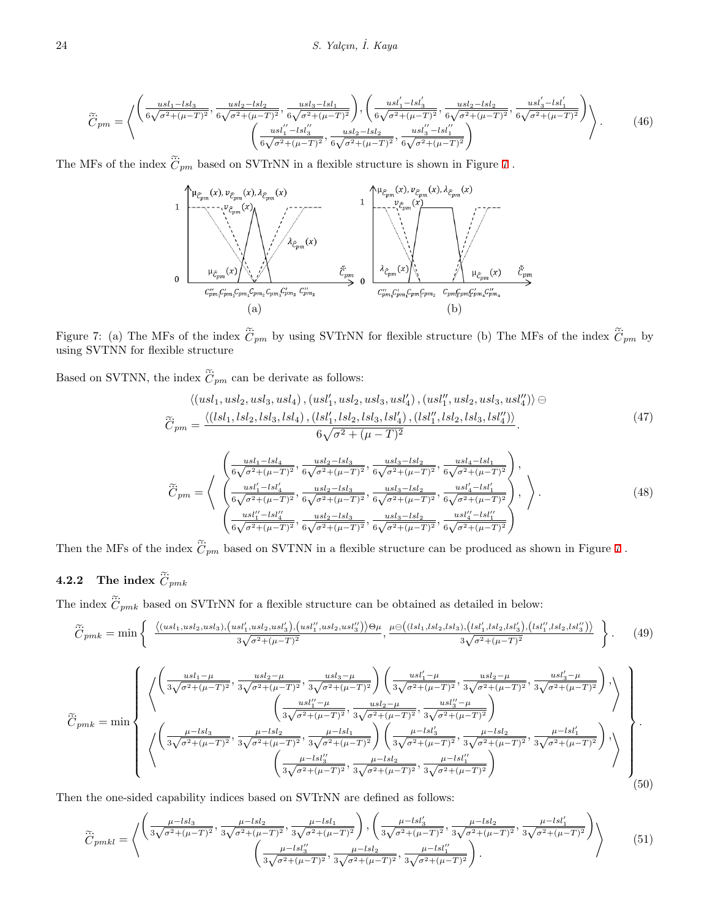$$
\tilde{C}_{pm} = \left\langle \begin{pmatrix} \frac{us_{1} - ls_{3}}{6\sqrt{\sigma^{2} + (\mu - T)^{2}}}, \frac{us_{2} - ls_{2}}{6\sqrt{\sigma^{2} + (\mu - T)^{2}}}, \frac{us_{3} - ls_{1}}{6\sqrt{\sigma^{2} + (\mu - T)^{2}}} \end{pmatrix}, \begin{pmatrix} \frac{us_{1}' - ls_{3}'}{6\sqrt{\sigma^{2} + (\mu - T)^{2}}}, \frac{us_{2} - ls_{2}}{6\sqrt{\sigma^{2} + (\mu - T)^{2}}}, \frac{us_{3}' - ls_{1}'}{6\sqrt{\sigma^{2} + (\mu - T)^{2}}} \end{pmatrix} \right\rangle. \tag{46}
$$
\n
$$
\left\langle \frac{us_{1}' - ls_{3}''}{6\sqrt{\sigma^{2} + (\mu - T)^{2}}}, \frac{us_{2} - ls_{2}}{6\sqrt{\sigma^{2} + (\mu - T)^{2}}}, \frac{us_{3}' - ls_{1}''}{6\sqrt{\sigma^{2} + (\mu - T)^{2}}} \right\rangle \right\}.
$$
\n
$$
\left\langle \frac{us_{1}' - ls_{3}''}{6\sqrt{\sigma^{2} + (\mu - T)^{2}}}, \frac{us_{2} - ls_{2}}{6\sqrt{\sigma^{2} + (\mu - T)^{2}}}, \frac{us_{3}' - ls_{1}''}{6\sqrt{\sigma^{2} + (\mu - T)^{2}}} \right\rangle \right\}.
$$



<span id="page-11-0"></span> $\tilde{C}_{pm}$  by using SVTNN for flexible structure Figure 7: (a) The MFs of the<br>using SVTNN for flexible struc<br>Based on SVTNN, the index  $\tilde{C}$ 

e index  $\tilde{C}_{pm}$  can be derivate as follows:

$$
\langle (usl_1, usl_2, usl_3, usl_4), (usl'_1, usl_2, usl_3, usl'_4), (usl''_1, usl_2, usl_3, usl''_4) \rangle \ominus \n\widetilde{C}_{pm} = \frac{\langle (lsl_1, lsl_2, lsl_3, lsl_4), (lsl'_1, lsl_2, lsl_3, lsl'_4), (lsl''_1, lsl_2, lsl_3, lsl'_4) \rangle}{6\sqrt{\sigma^2 + (\mu - T)^2}}.
$$
\n(47)

$$
\widetilde{C}_{pm} = \left\langle \begin{array}{c} \left(\frac{usl_1 - lsl_4}{6\sqrt{\sigma^2 + (\mu - T)^2}}, \frac{usl_2 - lsl_3}{6\sqrt{\sigma^2 + (\mu - T)^2}}, \frac{usl_3 - lsl_2}{6\sqrt{\sigma^2 + (\mu - T)^2}}, \frac{usl_4 - lsl_1}{6\sqrt{\sigma^2 + (\mu - T)^2}} \right), \\ \left(\frac{usl'_1 - lsl'_4}{6\sqrt{\sigma^2 + (\mu - T)^2}}, \frac{usl_2 - lsl_3}{6\sqrt{\sigma^2 + (\mu - T)^2}}, \frac{usl_3 - lsl_2}{6\sqrt{\sigma^2 + (\mu - T)^2}}, \frac{usl'_4 - lsl'_1}{6\sqrt{\sigma^2 + (\mu - T)^2}} \right), \\ \left(\frac{usl''_1 - lsl''_4}{6\sqrt{\sigma^2 + (\mu - T)^2}}, \frac{usl_2 - lsl_3}{6\sqrt{\sigma^2 + (\mu - T)^2}}, \frac{usl_3 - lsl_2}{6\sqrt{\sigma^2 + (\mu - T)^2}}, \frac{usl''_4 - lsl''_1}{6\sqrt{\sigma^2 + (\mu - T)^2}} \right) \end{array} \right\rangle. \tag{48}
$$
\nThen the MFs of the index  $\widetilde{C}_{pm}$  based on SVTNN in a flexible structure can be produced as shown in Figure 7.

Then the MFs of the i<br>**4.2.2** The index  $\tilde{C}$ 

#### ... 2 The index  $\dddot{C}_{pmk}$

Then the MFs of the index  $C_{pm}$  based on SVTNN in a flexible structure can be produced as shot<br> **4.2.2** The index  $\tilde{C}_{pmk}$ <br>
The index  $\tilde{C}_{pmk}$  based on SVTrNN for a flexible structure can be obtained as detailed in  $\kappa$  based on  $\beta$   $\epsilon$  members of a hence  $\beta$  and  $\beta$  of  $\alpha$ 

2 The index 
$$
\tilde{C}_{pmk}
$$
  
\n: index  $\tilde{C}_{pmk}$  based on SVTrNN for a flexible structure can be obtained as detailed in below:  
\n
$$
\tilde{C}_{pmk} = \min \left\{ \frac{\langle (usl_1, usl_2, usl_3), (usl'_1, usl_2, usl'_3), (usl''_1, usl_2, usl''_3) \rangle \Theta \mu}{3\sqrt{\sigma^2 + (\mu - T)^2}}, \frac{\mu \Theta((lsl_1, lsl_2, lsl_3), (lsl'_1, lsl_2, lsl'_3), (lsl''_1, lsl_2, lsl''_3))}{3\sqrt{\sigma^2 + (\mu - T)^2}} \right\}.
$$
\n(49)

$$
\tilde{C}_{pmk} = \min \left\{ \begin{pmatrix} \left( \frac{usl_1 - \mu}{3\sqrt{\sigma^2 + (\mu - T)^2}}, \frac{usl_2 - \mu}{3\sqrt{\sigma^2 + (\mu - T)^2}}, \frac{usl_3 - \mu}{3\sqrt{\sigma^2 + (\mu - T)^2}} \right) \left( \frac{usl_1' - \mu}{3\sqrt{\sigma^2 + (\mu - T)^2}}, \frac{usl_2 - \mu}{3\sqrt{\sigma^2 + (\mu - T)^2}}, \frac{usl_3' - \mu}{3\sqrt{\sigma^2 + (\mu - T)^2}} \right) \end{pmatrix} \right\}
$$
\n
$$
\tilde{C}_{pmk} = \min \left\{ \begin{pmatrix} \frac{\mu - ls_1}{3\sqrt{\sigma^2 + (\mu - T)^2}}, \frac{usl_2 - \mu}{3\sqrt{\sigma^2 + (\mu - T)^2}}, \frac{usl_3' - \mu}{3\sqrt{\sigma^2 + (\mu - T)^2}} \right) & \frac{usl_3' - \mu}{3\sqrt{\sigma^2 + (\mu - T)^2}} \end{pmatrix} \right\} \cdot \left\{ \frac{\mu - ls_1}{3\sqrt{\sigma^2 + (\mu - T)^2}}, \frac{\mu - ls_1'}{3\sqrt{\sigma^2 + (\mu - T)^2}}, \frac{\mu - ls_2'}{3\sqrt{\sigma^2 + (\mu - T)^2}}, \frac{\mu - ls_2'}{3\sqrt{\sigma^2 + (\mu - T)^2}}, \frac{\mu - ls_2'}{3\sqrt{\sigma^2 + (\mu - T)^2}} \right\} \cdot \left\{ \frac{\mu - ls_1'}{3\sqrt{\sigma^2 + (\mu - T)^2}}, \frac{\mu - ls_1'}{3\sqrt{\sigma^2 + (\mu - T)^2}} \right\} \cdot \left\{ \frac{\mu - ls_1'}{3\sqrt{\sigma^2 + (\mu - T)^2}}, \frac{\mu - ls_1'}{3\sqrt{\sigma^2 + (\mu - T)^2}} \right\} \right\} \cdot \left\{ \frac{\mu - ls_1'}{3\sqrt{\sigma^2 + (\mu - T)^2}}, \frac{\mu - ls_1'}{3\sqrt{\sigma^2 + (\mu - T)^2}} \right\} \cdot \left\{ \frac{\mu - ls_1'}{3\sqrt{\sigma^2 + (\mu - T)^2}} \right\} \cdot \left\{ \frac{\mu - ls_1'}{3\sqrt{\sigma^2 + (\mu - T)^2}}, \frac{\mu - ls_1'}{3\sqrt{\sigma^2 + (\mu - T)^2}} \
$$

Then the one-sided capability indices based on SVTrNN are defined as follows:

$$
\widetilde{C}_{pmkl} = \left\langle \left( \frac{\frac{\mu - lsl_3}{3\sqrt{\sigma^2 + (\mu - T)^2}}, \frac{\mu - lsl_2}{3\sqrt{\sigma^2 + (\mu - T)^2}}, \frac{\mu - lsl_1}{3\sqrt{\sigma^2 + (\mu - T)^2}} \right), \left( \frac{\mu - lsl_3'}{3\sqrt{\sigma^2 + (\mu - T)^2}}, \frac{\mu - lsl_2}{3\sqrt{\sigma^2 + (\mu - T)^2}}, \frac{\mu - lsl_2'}{3\sqrt{\sigma^2 + (\mu - T)^2}} \right) \right\rangle \tag{51}
$$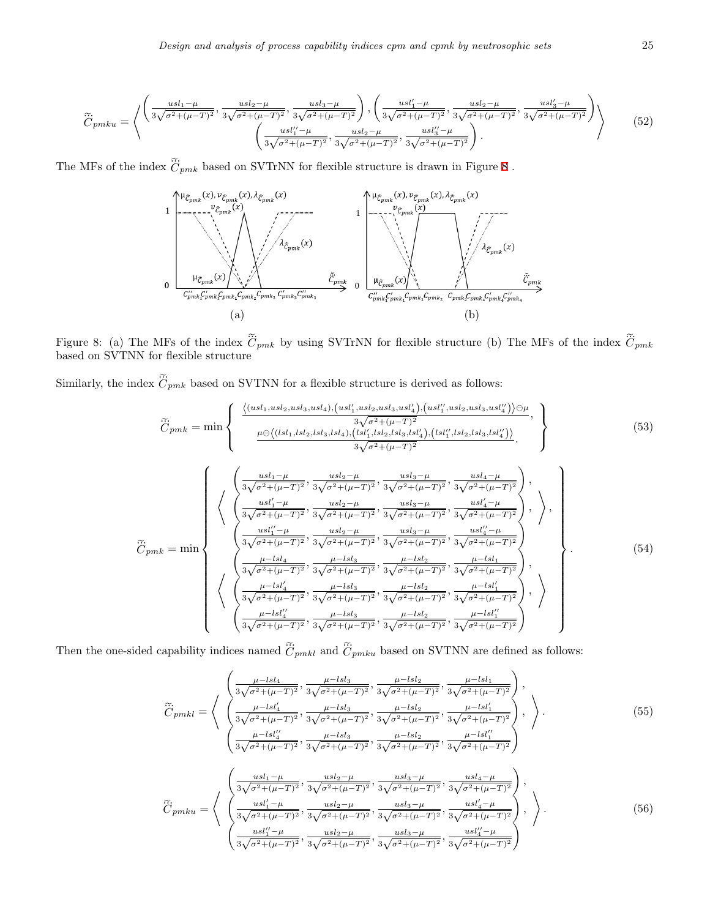$$
\widetilde{C}_{pmku} = \left\langle \left( \frac{usl_1 - \mu}{3\sqrt{\sigma^2 + (\mu - T)^2}}, \frac{usl_2 - \mu}{3\sqrt{\sigma^2 + (\mu - T)^2}}, \frac{usl_3 - \mu}{3\sqrt{\sigma^2 + (\mu - T)^2}} \right), \left( \frac{usl'_1 - \mu}{3\sqrt{\sigma^2 + (\mu - T)^2}}, \frac{usl_2 - \mu}{3\sqrt{\sigma^2 + (\mu - T)^2}}, \frac{usl'_3 - \mu}{3\sqrt{\sigma^2 + (\mu - T)^2}} \right) \right\rangle
$$
\n
$$
\left\langle \frac{usl''_1 - \mu}{3\sqrt{\sigma^2 + (\mu - T)^2}}, \frac{usl_2 - \mu}{3\sqrt{\sigma^2 + (\mu - T)^2}}, \frac{usl'_3 - \mu}{3\sqrt{\sigma^2 + (\mu - T)^2}} \right\rangle.
$$
\nThe MFs of the index  $\widetilde{C}_{pmk}$  based on SVTrNN for flexible structure is drawn in Figure 8.

\n(52)



<span id="page-12-0"></span>... *Cpmk* based on SVTNN for flexible structure Figure 8: (a) The MI<br>based on SVTNN for<br>Similarly, the index  $\tilde{C}$ 

 $\tilde{C}_{pmk}$  based on SVTNN for a flexible structure is derived as follows: e $\infty$ 

$$
\tilde{C}_{pmk} = \min \left\{ \begin{array}{c} \frac{\langle (usl_1, usl_2, usl_3, usl_4), (usl'_1, usl_2, usl_3, usl'_4), (usl''_1, usl_2, usl_3, usl'_4) \rangle \ominus \mu}{3\sqrt{\sigma^2 + (\mu - T)^2}}, \\ \frac{\mu \ominus \langle (lsl_1, lsl_2, lsl_3, lsl_4), (lsl'_1, lsl_2, lsl_3, lsl'_4), (lsl''_1, lsl_2, lsl_3, lsl'_4) \rangle}{3\sqrt{\sigma^2 + (\mu - T)^2}}, \frac{usl_3 - \mu}{3\sqrt{\sigma^2 + (\mu - T)^2}}, \frac{usl_4 - \mu}{3\sqrt{\sigma^2 + (\mu - T)^2}} \right\}, \\ \frac{\langle 53 \rangle}{\sqrt{\sigma^2 + (\mu - T)^2}}, \frac{usl_2 - \mu}{3\sqrt{\sigma^2 + (\mu - T)^2}}, \frac{usl_3 - \mu}{3\sqrt{\sigma^2 + (\mu - T)^2}}, \frac{usl_4 - \mu}{3\sqrt{\sigma^2 + (\mu - T)^2}} \right\}, \\ \frac{\langle 54 \rangle}{\sqrt{\sigma^2 + (\mu - T)^2}}, \frac{usl_2 - \mu}{3\sqrt{\sigma^2 + (\mu - T)^2}}, \frac{usl_3 - \mu}{3\sqrt{\sigma^2 + (\mu - T)^2}}, \frac{usl'_4 - \mu}{3\sqrt{\sigma^2 + (\mu - T)^2}} \right\}, \\ \frac{\langle 54 \rangle}{\langle 54 \rangle} \left\{ \begin{array}{c} \frac{\langle 1sl_1 - \mu}{\sqrt{\sigma^2 + (\mu - T)^2}}, \frac{usl_2 - \mu}{\sqrt{\sigma^2 + (\mu - T)^2}}, \frac{usl_3 - \mu}{3\sqrt{\sigma^2 + (\mu - T)^2}}, \frac{usl'_4 - \mu}{3\sqrt{\sigma^2 + (\mu - T)^2}} \right\} \\ \frac{\langle 54 \rangle}{3\sqrt{\sigma^2 + (\mu - T)^2}}, \frac{\langle 1sl_2 - \mu}{3\sqrt{\sigma^2 + (\mu - T)^2}}, \frac{\langle 1sl_2 - \mu}{3\sqrt{\sigma^2 + (\mu - T)^2}}, \frac{\langle 1sl_2 - \mu}{3\sqrt{\sigma^2 + (\mu - T)^2}} \right\} \end{array}, \tag{54}
$$
\n
$$
\left\{ \begin{array}{c} \frac
$$

pability indices named  $\tilde{C}_{pmkl}$  and  $\tilde{C}_{pmku}$  based on SVTNN are defined as follows:  $\dddot{\tilde{a}}$  and  $\dddot{\tilde{a}}$  begad on CVTNN are defined as

$$
\widetilde{C}_{pmkl} = \left\langle \begin{array}{l} \frac{\mu - lsl_4}{3\sqrt{\sigma^2 + (\mu - T)^2}}, \frac{\mu - lsl_3}{3\sqrt{\sigma^2 + (\mu - T)^2}}, \frac{\mu - lsl_2}{3\sqrt{\sigma^2 + (\mu - T)^2}}, \frac{\mu - lsl_1}{3\sqrt{\sigma^2 + (\mu - T)^2}} \end{array} \right\rangle, \\ \frac{\widetilde{C}_{pmkl}}{\sqrt{\sigma^2 + (\mu - T)^2}}, \frac{\mu - lsl_3}{3\sqrt{\sigma^2 + (\mu - T)^2}}, \frac{\mu - lsl_2}{3\sqrt{\sigma^2 + (\mu - T)^2}}, \frac{\mu - lsl_1'}{3\sqrt{\sigma^2 + (\mu - T)^2}} \right\rangle, \\ \frac{\mu - lsl_4''}{3\sqrt{\sigma^2 + (\mu - T)^2}}, \frac{\mu - lsl_3}{3\sqrt{\sigma^2 + (\mu - T)^2}}, \frac{\mu - lsl_2}{3\sqrt{\sigma^2 + (\mu - T)^2}}, \frac{\mu - lsl_2''}{3\sqrt{\sigma^2 + (\mu - T)^2}} \right\rangle \left\langle \begin{array}{l} (55) \\ \frac{\mu - lsl_4''}{3\sqrt{\sigma^2 + (\mu - T)^2}}, \frac{\mu lsl_3}{3\sqrt{\sigma^2 + (\mu - T)^2}}, \frac{\mu lsl_2}{3\sqrt{\sigma^2 + (\mu - T)^2}}, \frac{\mu lsl_2''}{3\sqrt{\sigma^2 + (\mu - T)^2}} \end{array} \right\rangle, \\ \widetilde{C}_{pmku} = \left\langle \begin{array}{l} \frac{usl_1 - \mu}{3\sqrt{\sigma^2 + (\mu - T)^2}}, \frac{usl_2 - \mu}{3\sqrt{\sigma^2 + (\mu - T)^2}}, \frac{usl_3 - \mu}{3\sqrt{\sigma^2 + (\mu - T)^2}}, \frac{usl_4' - \mu}{3\sqrt{\sigma^2 + (\mu - T)^2}} \end{array} \right\rangle, \\ \frac{usl_4' - \mu}{3\sqrt{\sigma^2 + (\mu - T)^2}}, \frac{usl_2 - \mu}{3\sqrt{\sigma^2 + (\mu - T)^2}}, \frac{usl_3 - \mu}{3\sqrt{\sigma^2 + (\mu - T)^2}}, \frac{usl_4'' - \mu}{3\sqrt{\sigma^2 + (\mu - T)^2}} \right\rangle \left\langle \begin{array}{l} (56) \\ \frac{usl_1'' - \mu}{3\sqrt{\sigma^2 + (\mu -
$$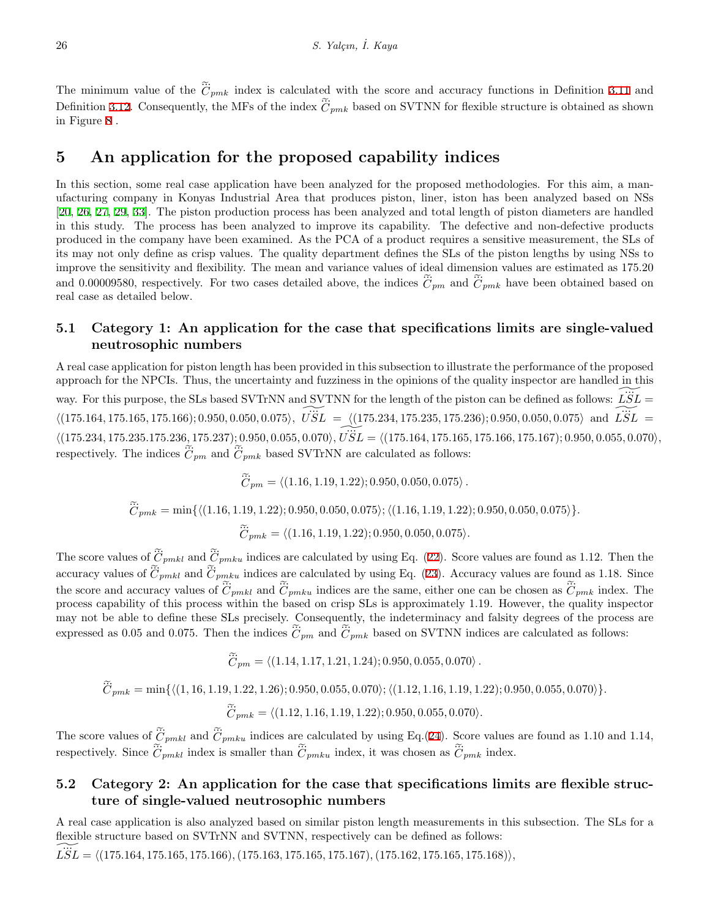26<br> *C*<sub>*pmk*</sub> index is calculated with the score and accuracy functions in Definition [3.11](#page-5-1) and The minimum value of the  $\tilde{C}_{pmk}$  index is calculated<br>Definition [3.12.](#page-5-2) Consequently, the MFs of the index  $\tilde{C}$  $\tilde{C}_{pmk}$  based on SVTNN for flexible structure is obtained as shown in Figure [8](#page-12-0) .

#### **5 An application for the proposed capability indices**

In this section, some real case application have been analyzed for the proposed methodologies. For this aim, a manufacturing company in Konyas Industrial Area that produces piston, liner, iston has been analyzed based on NSs [[20,](#page-16-16) [26,](#page-16-17) [27,](#page-16-18) [29,](#page-16-19) [33\]](#page-16-20). The piston production process has been analyzed and total length of piston diameters are handled in this study. The process has been analyzed to improve its capability. The defective and non-defective products produced in the company have been examined. As the PCA of a product requires a sensitive measurement, the SLs of its may not only define as crisp values. The quality department defines the SLs of the piston lengths by using NSs to improve the sensitivity and flexibility. The mean and variance values of ideal dimension values are estimated as 175.20 in this study. The process has been analyzed to improve its capability.<br>produced in the company have been examined. As the PCA of a product its may not only define as crisp values. The quality department defines the impro y. The definition of the SLs of the SLs of the definition of  $\tilde{C}_{pm}$  and  $\tilde{C}$  $\tilde{C}_{pmk}$  have been obtained based on real case as detailed below.

#### **5.1 Category 1: An application for the case that specifications limits are single-valued neutrosophic numbers**

A real case application for piston length has been provided in this subsection to illustrate the performance of the proposed approach for the NPCIs. Thus, the uncertainty and fuzziness in the opinions of the quality inspector are handled in this way. For this purpose, the SLs based SVTrNN and SVTNN for the length of the piston can be defined as follows:  $\widetilde{LSL}$  =  $(175.164, 175.165, 175.166); 0.950, 0.050, 0.075, \vec{USE} = \langle (175.234, 175.235, 175.236); 0.950, 0.050, 0.075 \rangle$  and  $\vec{LSE} =$  $\sqrt{\langle 175.234, 175.235.175.236, 175.237 \rangle}; 0.950, 0.055, 0.070 \rangle, \widetilde{USL} = \langle (175.164, 175.165, 175.166, 175.167); 0.950, 0.055, 0.070 \rangle,$ way. For this purpose, the SLs based<br>  $\langle (175.164, 175.165, 175.166); 0.950, 0.04 \rangle$ <br>  $\langle (175.234, 175.235.175.236, 175.237);$ <br>
respectively. The indices  $\tilde{C}_{pm}$  and  $\tilde{C}$ both 15.200, 115.201), 6.300, 6.300, 6.310),  $C_{D}D = \sqrt{(115.101, 115.100)}$ <br>he indices  $\widetilde{C}_{pm}$  and  $\widetilde{C}_{pmk}$  based SVTrNN are calculated as follows:

$$
\widetilde{\ddot{C}}_{pm} = \langle (1.16, 1.19, 1.22); 0.950, 0.050, 0.075 \rangle.
$$

$$
\widetilde{C}_{pmk} = \min\{ \langle (1.16, 1.19, 1.22); 0.950, 0.050, 0.075 \rangle; \langle (1.16, 1.19, 1.22); 0.950, 0.050, 0.075 \rangle \}.
$$
  

$$
\widetilde{C}_{pmk} = \langle (1.16, 1.19, 1.22); 0.950, 0.050, 0.075 \rangle.
$$
  
es of  $\widetilde{C}_{pmkl}$  and  $\widetilde{C}_{pmku}$  indices are calculated by using Eq. (22). Score values are found as

 $\widetilde{\tilde{C}}_{pmk} = \langle (1.16, 1.19, 1.22); 0.950, 0.050, 0.075 \rangle.$ 

 $\label{eq:11} \widetilde{\boldsymbol{C}}_{pmk} :$  The score values of  $\widetilde{\boldsymbol{C}}$  $\tilde{C}_{pmku}$  indices are calculated by using Eq. ([22\)](#page-5-3). Score values are found as 1.12. Then the The score values of  $\tilde{C}_{pmkl}$  and  $\tilde{C}_{accuracy}$  values of  $\tilde{C}_{pmkl}$  and  $\tilde{C}_{c}$  $\tilde{C}_{pmkl}$  and  $\tilde{C}_{pmku}$  indices are calculated by using Eq. [\(23](#page-5-4)). Accuracy values are found as 1.18. Since  $C_{pmk} = \langle (1.16, 1.19, 1.22); 0.950, 0.050, 0.075 \rangle.$ <br>The score values of  $\tilde{C}_{pmkl}$  and  $\tilde{C}_{pmku}$  indices are calculated by using Eq. (22). Score values are found as<br>accuracy values of  $\tilde{C}_{pmkl}$  and  $\tilde{C}_{pmkl}$  and  $\$  $\tilde{C}_{pmkl}$  and  $\tilde{C}_{pmku}$  indices are the same, either one can be chosen as  $\tilde{C}_{pmkl}$  index. The process capability of this process within the based on crisp SLs is approximately 1.19. However, the quality inspector emay not be able to define these SLs precisely. Consequently, the indeterminacy and falsity degrees of the process are accuracy values of  $C_{pmkl}$  and  $C_{pmkl}$  matces are calculated<br>the score and accuracy values of  $\tilde{C}_{pmkl}$  and  $\tilde{C}_{pmku}$  indices<br>process capability of this process within the based on cris<br>may not be able to define these as 0.05 and 0.075. Then the indices  $\tilde{C}_{pm}$  and  $\tilde{C}_{pmk}$  based on SVTNN indices are calculated as follows:

 $\widetilde{C}_{pm} = \langle (1.14, 1.17, 1.21, 1.24) ; 0.950, 0.055, 0.070 \rangle$ .

$$
\widetilde{C}_{pmk} = \min\{ \langle (1, 16, 1.19, 1.22, 1.26); 0.950, 0.055, 0.070 \rangle; \langle (1.12, 1.16, 1.19, 1.22); 0.950, 0.055, 0.070 \rangle \}.
$$
  

$$
\widetilde{C}_{pmk} = \langle (1.12, 1.16, 1.19, 1.22); 0.950, 0.055, 0.070 \rangle.
$$
  
values of  $\widetilde{C}_{pmk1}$  and  $\widetilde{C}_{pmku}$  indices are calculated by using Eq.(24). Score values are found as 1.10

 $\widetilde{C}_{pmk} = \langle (1.12, 1.16, 1.19, 1.22) ; 0.950, 0.055, 0.070 \rangle.$ 

 $\label{eq:11} \widetilde{C}_{pmk}=\min$  <br> The score values of  $\widetilde{\widetilde{C}}$  $\tilde{C}_{pmku}$  indices are calculated by using Eq.([24\)](#page-5-5). Score values are found as 1.10 and 1.14, The score values of  $\tilde{c}$ <br>respectively. Since  $\tilde{c}$  $\tilde{C}_{pmk} = \langle (1.12,$ <br> $\tilde{C}_{pmkl}$  and  $\tilde{C}_{pmku}$  indices are  $\tilde{C}_{pmkl}$  index is smaller than  $\tilde{C}$  $\tilde{\mathbb{R}}$ 2, 1.16, 1.19, 1.22); 0.950, 0.055, 0.0<br>
e calculated by using Eq.(24). Se<br>  $\tilde{C}_{pmku}$  index, it was chosen as  $\tilde{C}$  $\tilde{\tilde{C}}_{pmk}$  index.

#### **5.2 Category 2: An application for the case that specifications limits are flexible structure of single-valued neutrosophic numbers**

A real case application is also analyzed based on similar piston length measurements in this subsection. The SLs for a flexible structure based on SVTrNN and SVTNN, respectively can be defined as follows:

 $\widetilde{LSL} = \langle (175.164, 175.165, 175.166), (175.163, 175.165, 175.167), (175.162, 175.165, 175.168) \rangle,$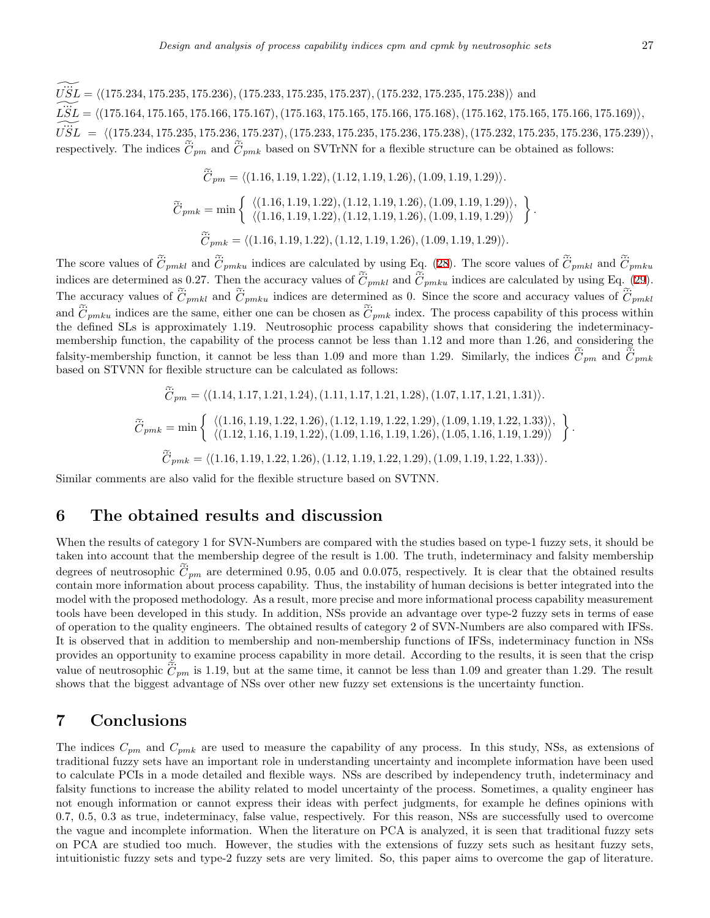$\widetilde{USL} = \langle (175.234, 175.235, 175.236), (175.233, 175.235, 175.237), (175.232, 175.235, 175.238) \rangle$  and  $\widetilde{LSL} = \langle (175.164, 175.165, 175.166, 175.167), (175.163, 175.165, 175.166, 175.168), (175.162, 175.165, 175.166, 175.169) \rangle,$  $\widetilde{USL} \;=\; \langle (175.234, 175.235, 175.236, 175.237), (175.233, 175.235, 175.236, 175.238), (175.232, 175.235, 175.236, 175.239) \rangle,$  $\widetilde{LSL} = \langle (175.234, 175.235, 175.236), (\widetilde{LSL} = \langle (175.164, 175.165, 175.166, 17 \ \widetilde{USL} = \langle (175.234, 175.235, 175.236, \text{respectively. The indices } \widetilde{C}_{pm} \text{ and } \widetilde{C} \rangle$  $\tilde{C}_{pm}$  and  $\tilde{C}_{pmk}$  based on SVTrNN for a flexible structure can be obtained as follows:

dices 
$$
\tilde{C}_{pm}
$$
 and  $\tilde{C}_{pmk}$  based on SVTrNN for a flexible structure can be obtained as  
\n
$$
\tilde{C}_{pm} = \langle (1.16, 1.19, 1.22), (1.12, 1.19, 1.26), (1.09, 1.19, 1.29) \rangle.
$$
\n
$$
\tilde{C}_{pmk} = \min \left\{ \begin{array}{l} \langle (1.16, 1.19, 1.22), (1.12, 1.19, 1.26), (1.09, 1.19, 1.29) \rangle, \\ \langle (1.16, 1.19, 1.22), (1.12, 1.19, 1.26), (1.09, 1.19, 1.29) \rangle \end{array} \right\}.
$$
\n
$$
\tilde{C}_{pmk} = \langle (1.16, 1.19, 1.22), (1.12, 1.19, 1.26), (1.09, 1.19, 1.29) \rangle.
$$
\n
$$
\tilde{C}_{pmk} \text{ and } \tilde{C}_{pmku} \text{ indices are calculated by using Eq. (28). The score values of } \tilde{C}
$$

The score values of  $\widetilde{\ddot{C}}$ ... ...  $\tilde{\ddot{C}}_{pmkl}$  and  $\tilde{\ddot{C}}$ ... *Cpmku*  $\widetilde{C}_{pmk} = \langle (1.16, 1.19, 1.22), (1.12, 1.19, 1.26),$ <br>The score values of  $\widetilde{C}_{pmkl}$  and  $\widetilde{C}_{pmku}$  indices are calculated by using Equidices are determined as 0.27. Then the accuracy values of  $\widetilde{C}_{pmkl}$  and  $\widetilde{C}_{$  $\tilde{C}_{pmkl}$  and  $\tilde{C}_{pmku}$  indices are calculated by using Eq. [\(29](#page-5-7)).  $C_{pmk} = \langle (1.16, 1.19, 1.22), (1.12, 1.19, 1.26), (1.09, 1.19, 1.29) \rangle.$ <br>The score values of  $\tilde{C}_{pmkl}$  and  $\tilde{C}_{pmku}$  indices are calculated by using Eq. (28). The score values of  $\tilde{C}_{pmkl}$  and  $\tilde{C}_{jmkl}$ <br>indices are det ... ... ... *Cpmkl* The score values of  $\tilde{C}_{pmkl}$  and  $\tilde{C}_{pmku}$  indices are calculated by indices are determined as 0.27. Then the accuracy values of  $\tilde{C}_r$  The accuracy values of  $\tilde{C}_{pmkl}$  and  $\tilde{C}_{pmku}$  indices are determined and  $\tilde{C}_{pmku}$  indices are the same, either one can be chosen as  $\tilde{C}_{pmk}$  index. The process capability of this process within the defined SLs is approximately 1.19. Neutrosophic process capability shows that considering the indeterminacymembership function, the capability of the process cannot be less than 1.12 and more than 1.26, and considering the The accuracy values of  $C_{pmkl}$  and  $C_{pmku}$  indices are determined as 0. Since the score and accuracy values of  $C_i$ <br>and  $\tilde{C}_{pmku}$  indices are the same, either one can be chosen as  $\tilde{C}_{pmk}$  index. The process capabili  $\sum_{pm}$  and  $C_{pmk}$ based on STVNN for flexible structure can be calculated as follows:

\n The function of the first line is given by:\n 
$$
\widetilde{C}_{pm} = \langle (1.14, 1.17, 1.21, 1.24), (1.11, 1.17, 1.21, 1.28), (1.07, 1.17, 1.21, 1.31) \rangle.
$$
\n

\n\n The function of the first line is given by:\n  $\widetilde{C}_{pm} = \langle (1.14, 1.17, 1.21, 1.24), (1.11, 1.17, 1.21, 1.28), (1.07, 1.17, 1.21, 1.31) \rangle.$ \n

\n\n The function of the first line is given by:\n  $\widetilde{C}_{pm} = \min \left\{ \begin{array}{l}\n \langle (1.16, 1.19, 1.22, 1.26), (1.12, 1.19, 1.22, 1.29), (1.09, 1.19, 1.22, 1.33) \rangle, \\
 \langle (1.12, 1.16, 1.19, 1.22), (1.09, 1.16, 1.19, 1.22, 1.29), (1.09, 1.19, 1.22, 1.33) \rangle.\n \end{array} \right\}.$ \n

Similar comments are also valid for the flexible structure based on SVTNN.

#### **6 The obtained results and discussion**

When the results of category 1 for SVN-Numbers are compared with the studies based on type-1 fuzzy sets, it should be taken into account that the membership degree of the result is 1.00. The truth, indeterminacy and falsity membership **6** The obtained results and discussion<br>When the results of category 1 for SVN-Numbers are compared with the studies based on type-1 fuzzy sets, it should be<br>taken into account that the membership degree of the result is contain more information about process capability. Thus, the instability of human decisions is better integrated into the model with the proposed methodology. As a result, more precise and more informational process capability measurement tools have been developed in this study. In addition, NSs provide an advantage over type-2 fuzzy sets in terms of ease of operation to the quality engineers. The obtained results of category 2 of SVN-Numbers are also compared with IFSs. It is observed that in addition to membership and non-membership functions of IFSs, indeterminacy function in NSs provides an opportunity to examine process capability in more detail. According to the results, it is seen that the crisp tools have been developed in this study. In addition, NSs provide an advantage over type-2 fuzzy sets in terms of ease<br>of operation to the quality engineers. The obtained results of category 2 of SVN-Numbers are also comp shows that the biggest advantage of NSs over other new fuzzy set extensions is the uncertainty function.

#### **7 Conclusions**

The indices *Cpm* and *Cpmk* are used to measure the capability of any process. In this study, NSs, as extensions of traditional fuzzy sets have an important role in understanding uncertainty and incomplete information have been used to calculate PCIs in a mode detailed and flexible ways. NSs are described by independency truth, indeterminacy and falsity functions to increase the ability related to model uncertainty of the process. Sometimes, a quality engineer has not enough information or cannot express their ideas with perfect judgments, for example he defines opinions with 0.7, 0.5, 0.3 as true, indeterminacy, false value, respectively. For this reason, NSs are successfully used to overcome the vague and incomplete information. When the literature on PCA is analyzed, it is seen that traditional fuzzy sets on PCA are studied too much. However, the studies with the extensions of fuzzy sets such as hesitant fuzzy sets, intuitionistic fuzzy sets and type-2 fuzzy sets are very limited. So, this paper aims to overcome the gap of literature.

*.*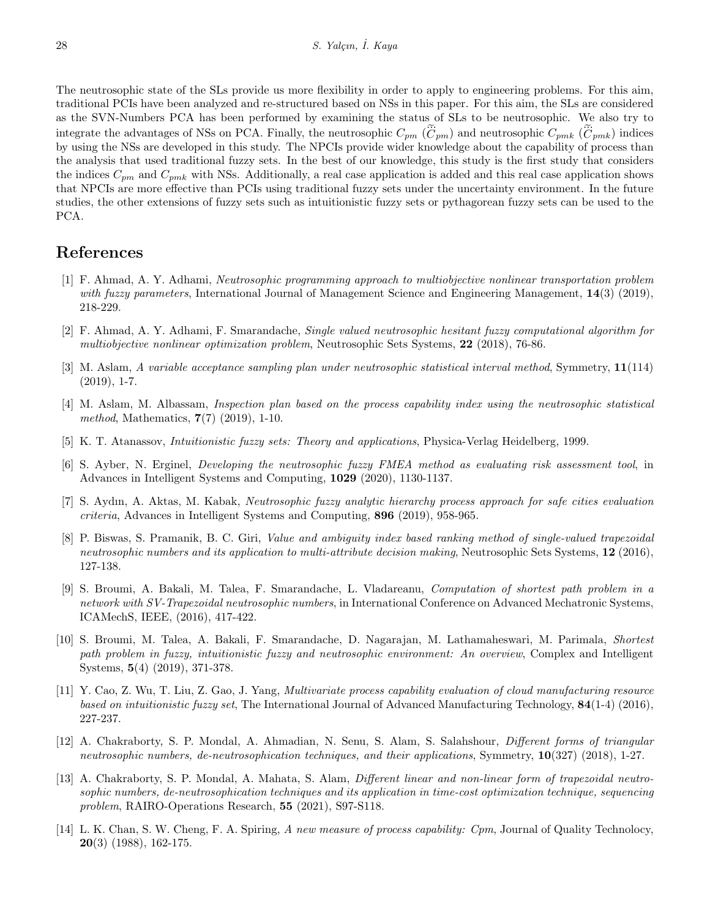The neutrosophic state of the SLs provide us more flexibility in order to apply to engineering problems. For this aim, traditional PCIs have been analyzed and re-structured based on NSs in this paper. For this aim, the SLs are considered as the SVN-Numbers PCA has been performed by examining the status of SLs to be neutrosophic. We also try to integrate the advantages of NSs on PCA. Finally, the neutrosophic  $C_{pm}$  ( $\tilde{C}_{pm}$ ) and neutrosophic  $C_{pmk}$  ( $\tilde{C}_{pmk}$ ) indices by using the NSs are developed in this study. The NPCIs provide wider knowledge about the capability of process than the analysis that used traditional fuzzy sets. In the best of our knowledge, this study is the first study that considers the indices *Cpm* and *Cpmk* with NSs. Additionally, a real case application is added and this real case application shows that NPCIs are more effective than PCIs using traditional fuzzy sets under the uncertainty environment. In the future studies, the other extensions of fuzzy sets such as intuitionistic fuzzy sets or pythagorean fuzzy sets can be used to the PCA.

#### **References**

- <span id="page-15-12"></span>[1] F. Ahmad, A. Y. Adhami, *Neutrosophic programming approach to multiobjective nonlinear transportation problem with fuzzy parameters*, International Journal of Management Science and Engineering Management, **14**(3) (2019), 218-229.
- <span id="page-15-13"></span>[2] F. Ahmad, A. Y. Adhami, F. Smarandache, *Single valued neutrosophic hesitant fuzzy computational algorithm for multiobjective nonlinear optimization problem*, Neutrosophic Sets Systems, **22** (2018), 76-86.
- <span id="page-15-8"></span>[3] M. Aslam, *A variable acceptance sampling plan under neutrosophic statistical interval method*, Symmetry, **11**(114)  $(2019), 1-7.$
- <span id="page-15-1"></span>[4] M. Aslam, M. Albassam, *Inspection plan based on the process capability index using the neutrosophic statistical method*, Mathematics, **7**(7) (2019), 1-10.
- <span id="page-15-3"></span>[5] K. T. Atanassov, *Intuitionistic fuzzy sets: Theory and applications*, Physica-Verlag Heidelberg, 1999.
- <span id="page-15-9"></span>[6] S. Ayber, N. Erginel, *Developing the neutrosophic fuzzy FMEA method as evaluating risk assessment tool*, in Advances in Intelligent Systems and Computing, **1029** (2020), 1130-1137.
- <span id="page-15-7"></span>[7] S. Aydın, A. Aktas, M. Kabak, *Neutrosophic fuzzy analytic hierarchy process approach for safe cities evaluation criteria*, Advances in Intelligent Systems and Computing, **896** (2019), 958-965.
- <span id="page-15-6"></span>[8] P. Biswas, S. Pramanik, B. C. Giri, *Value and ambiguity index based ranking method of single-valued trapezoidal neutrosophic numbers and its application to multi-attribute decision making*, Neutrosophic Sets Systems, **12** (2016), 127-138.
- <span id="page-15-5"></span>[9] S. Broumi, A. Bakali, M. Talea, F. Smarandache, L. Vladareanu, *Computation of shortest path problem in a network with SV-Trapezoidal neutrosophic numbers*, in International Conference on Advanced Mechatronic Systems, ICAMechS, IEEE, (2016), 417-422.
- <span id="page-15-4"></span>[10] S. Broumi, M. Talea, A. Bakali, F. Smarandache, D. Nagarajan, M. Lathamaheswari, M. Parimala, *Shortest path problem in fuzzy, intuitionistic fuzzy and neutrosophic environment: An overview*, Complex and Intelligent Systems, **5**(4) (2019), 371-378.
- <span id="page-15-0"></span>[11] Y. Cao, Z. Wu, T. Liu, Z. Gao, J. Yang, *Multivariate process capability evaluation of cloud manufacturing resource based on intuitionistic fuzzy set*, The International Journal of Advanced Manufacturing Technology, **84**(1-4) (2016), 227-237.
- <span id="page-15-11"></span>[12] A. Chakraborty, S. P. Mondal, A. Ahmadian, N. Senu, S. Alam, S. Salahshour, *Different forms of triangular neutrosophic numbers, de-neutrosophication techniques, and their applications*, Symmetry, **10**(327) (2018), 1-27.
- <span id="page-15-10"></span>[13] A. Chakraborty, S. P. Mondal, A. Mahata, S. Alam, *Different linear and non-linear form of trapezoidal neutrosophic numbers, de-neutrosophication techniques and its application in time-cost optimization technique, sequencing problem*, RAIRO-Operations Research, **55** (2021), S97-S118.
- <span id="page-15-2"></span>[14] L. K. Chan, S. W. Cheng, F. A. Spiring, *A new measure of process capability: Cpm*, Journal of Quality Technolocy, **20**(3) (1988), 162-175.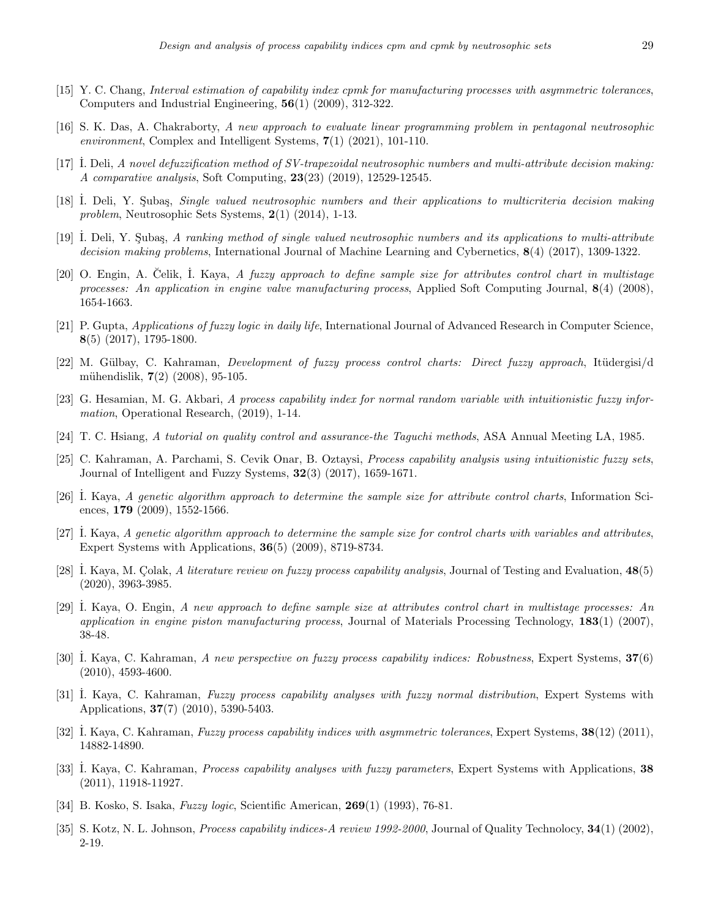- <span id="page-16-11"></span>[15] Y. C. Chang, *Interval estimation of capability index cpmk for manufacturing processes with asymmetric tolerances*, Computers and Industrial Engineering, **56**(1) (2009), 312-322.
- <span id="page-16-15"></span>[16] S. K. Das, A. Chakraborty, *A new approach to evaluate linear programming problem in pentagonal neutrosophic environment*, Complex and Intelligent Systems, **7**(1) (2021), 101-110.
- <span id="page-16-14"></span>[17] ˙I. Deli, *A novel defuzzification method of SV-trapezoidal neutrosophic numbers and multi-attribute decision making: A comparative analysis*, Soft Computing, **23**(23) (2019), 12529-12545.
- <span id="page-16-12"></span>[18] I. Deli, Y. Subas, *Single valued neutrosophic numbers and their applications to multicriteria decision making problem*, Neutrosophic Sets Systems, **2**(1) (2014), 1-13.
- <span id="page-16-13"></span>[19] I. Deli, Y. Subaş, *A ranking method of single valued neutrosophic numbers and its applications to multi-attribute decision making problems*, International Journal of Machine Learning and Cybernetics, **8**(4) (2017), 1309-1322.
- <span id="page-16-16"></span>[20] O. Engin, A. Celik, I. Kaya, *A fuzzy approach to define sample size for attributes control chart in multistage processes: An application in engine valve manufacturing process*, Applied Soft Computing Journal, **8**(4) (2008), 1654-1663.
- <span id="page-16-3"></span>[21] P. Gupta, *Applications of fuzzy logic in daily life*, International Journal of Advanced Research in Computer Science, **8**(5) (2017), 1795-1800.
- <span id="page-16-1"></span>[22] M. Gülbay, C. Kahraman, *Development of fuzzy process control charts: Direct fuzzy approach*, Itüdergisi/d mühendislik, **7**(2) (2008), 95-105.
- <span id="page-16-5"></span>[23] G. Hesamian, M. G. Akbari, *A process capability index for normal random variable with intuitionistic fuzzy information*, Operational Research, (2019), 1-14.
- <span id="page-16-10"></span>[24] T. C. Hsiang, *A tutorial on quality control and assurance-the Taguchi methods*, ASA Annual Meeting LA, 1985.
- <span id="page-16-6"></span>[25] C. Kahraman, A. Parchami, S. Cevik Onar, B. Oztaysi, *Process capability analysis using intuitionistic fuzzy sets*, Journal of Intelligent and Fuzzy Systems, **32**(3) (2017), 1659-1671.
- <span id="page-16-17"></span>[26] ˙I. Kaya, *A genetic algorithm approach to determine the sample size for attribute control charts*, Information Sciences, **179** (2009), 1552-1566.
- <span id="page-16-18"></span>[27] ˙I. Kaya, *A genetic algorithm approach to determine the sample size for control charts with variables and attributes*, Expert Systems with Applications, **36**(5) (2009), 8719-8734.
- <span id="page-16-4"></span>[28] I. Kaya, M. Colak, *A literature review on fuzzy process capability analysis*, Journal of Testing and Evaluation, **48**(5) (2020), 3963-3985.
- <span id="page-16-19"></span>[29] ˙I. Kaya, O. Engin, *A new approach to define sample size at attributes control chart in multistage processes: An application in engine piston manufacturing process*, Journal of Materials Processing Technology, **183**(1) (2007), 38-48.
- <span id="page-16-7"></span>[30] ˙I. Kaya, C. Kahraman, *A new perspective on fuzzy process capability indices: Robustness*, Expert Systems, **37**(6) (2010), 4593-4600.
- <span id="page-16-0"></span>[31] ˙I. Kaya, C. Kahraman, *Fuzzy process capability analyses with fuzzy normal distribution*, Expert Systems with Applications, **37**(7) (2010), 5390-5403.
- <span id="page-16-8"></span>[32] ˙I. Kaya, C. Kahraman, *Fuzzy process capability indices with asymmetric tolerances*, Expert Systems, **38**(12) (2011), 14882-14890.
- <span id="page-16-20"></span>[33] ˙I. Kaya, C. Kahraman, *Process capability analyses with fuzzy parameters*, Expert Systems with Applications, **38** (2011), 11918-11927.
- <span id="page-16-2"></span>[34] B. Kosko, S. Isaka, *Fuzzy logic*, Scientific American, **269**(1) (1993), 76-81.
- <span id="page-16-9"></span>[35] S. Kotz, N. L. Johnson, *Process capability indices-A review 1992-2000*, Journal of Quality Technolocy, **34**(1) (2002), 2-19.